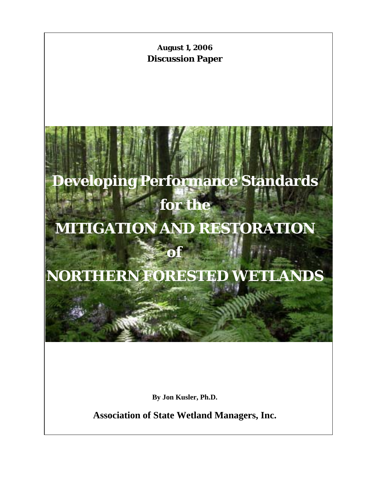

**By Jon Kusler, Ph.D.** 

**Association of State Wetland Managers, Inc.**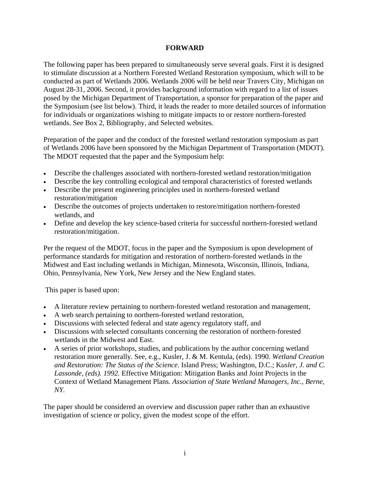#### **FORWARD**

The following paper has been prepared to simultaneously serve several goals. First it is designed to stimulate discussion at a Northern Forested Wetland Restoration symposium, which will to be conducted as part of Wetlands 2006. Wetlands 2006 will be held near Travers City, Michigan on August 28-31, 2006. Second, it provides background information with regard to a list of issues posed by the Michigan Department of Transportation, a sponsor for preparation of the paper and the Symposium (see list below). Third, it leads the reader to more detailed sources of information for individuals or organizations wishing to mitigate impacts to or restore northern-forested wetlands. See Box 2, Bibliography, and Selected websites.

Preparation of the paper and the conduct of the forested wetland restoration symposium as part of Wetlands 2006 have been sponsored by the Michigan Department of Transportation (MDOT). The MDOT requested that the paper and the Symposium help:

- Describe the challenges associated with northern-forested wetland restoration/mitigation
- Describe the key controlling ecological and temporal characteristics of forested wetlands
- Describe the present engineering principles used in northern-forested wetland restoration/mitigation
- Describe the outcomes of projects undertaken to restore/mitigation northern-forested wetlands, and
- Define and develop the key science-based criteria for successful northern-forested wetland restoration/mitigation.

Per the request of the MDOT, focus in the paper and the Symposium is upon development of performance standards for mitigation and restoration of northern-forested wetlands in the Midwest and East including wetlands in Michigan, Minnesota, Wisconsin, Illinois, Indiana, Ohio, Pennsylvania, New York, New Jersey and the New England states.

This paper is based upon:

- A literature review pertaining to northern-forested wetland restoration and management,
- A web search pertaining to northern-forested wetland restoration,
- Discussions with selected federal and state agency regulatory staff, and
- Discussions with selected consultants concerning the restoration of northern-forested wetlands in the Midwest and East.
- A series of prior workshops, studies, and publications by the author concerning wetland restoration more generally. See, e.g., Kusler, J. & M. Kentula, (eds). 1990. *Wetland Creation and Restoration: The Status of the Science*. Island Press; Washington, D.C.; K*usler, J. and C. Lassonde, (eds). 1992.* Effective Mitigation: Mitigation Banks and Joint Projects in the Context of Wetland Management Plans*. Association of State Wetland Managers, Inc., Berne, NY.*

The paper should be considered an overview and discussion paper rather than an exhaustive investigation of science or policy, given the modest scope of the effort.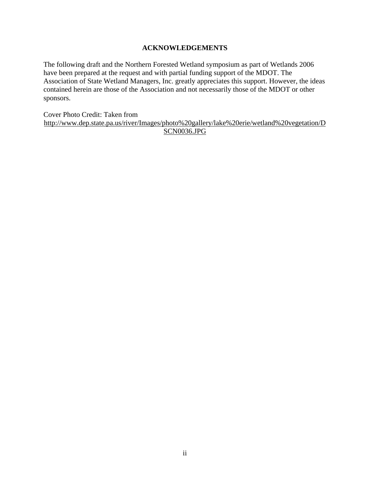#### **ACKNOWLEDGEMENTS**

The following draft and the Northern Forested Wetland symposium as part of Wetlands 2006 have been prepared at the request and with partial funding support of the MDOT. The Association of State Wetland Managers, Inc. greatly appreciates this support. However, the ideas contained herein are those of the Association and not necessarily those of the MDOT or other sponsors.

Cover Photo Credit: Taken from

<http://www.dep.state.pa.us/river/Images/photo%20gallery/lake%20erie/wetland%20vegetation/D> SCN0036.JPG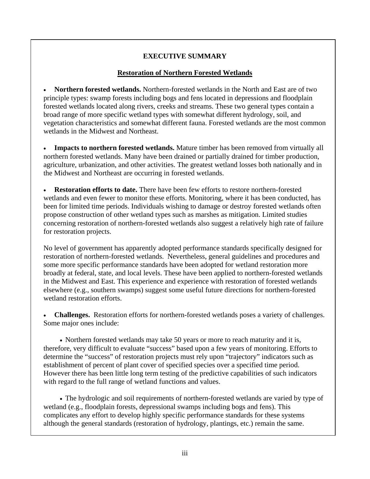## **EXECUTIVE SUMMARY**

#### **Restoration of Northern Forested Wetlands**

• **Northern forested wetlands.** Northern-forested wetlands in the North and East are of two principle types: swamp forests including bogs and fens located in depressions and floodplain forested wetlands located along rivers, creeks and streams. These two general types contain a broad range of more specific wetland types with somewhat different hydrology, soil, and vegetation characteristics and somewhat different fauna. Forested wetlands are the most common wetlands in the Midwest and Northeast.

• **Impacts to northern forested wetlands.** Mature timber has been removed from virtually all northern forested wetlands. Many have been drained or partially drained for timber production, agriculture, urbanization, and other activities. The greatest wetland losses both nationally and in the Midwest and Northeast are occurring in forested wetlands.

• **Restoration efforts to date.** There have been few efforts to restore northern-forested wetlands and even fewer to monitor these efforts. Monitoring, where it has been conducted, has been for limited time periods. Individuals wishing to damage or destroy forested wetlands often propose construction of other wetland types such as marshes as mitigation. Limited studies concerning restoration of northern-forested wetlands also suggest a relatively high rate of failure for restoration projects.

No level of government has apparently adopted performance standards specifically designed for restoration of northern-forested wetlands. Nevertheless, general guidelines and procedures and some more specific performance standards have been adopted for wetland restoration more broadly at federal, state, and local levels. These have been applied to northern-forested wetlands in the Midwest and East. This experience and experience with restoration of forested wetlands elsewhere (e.g., southern swamps) suggest some useful future directions for northern-forested wetland restoration efforts.

• **Challenges.** Restoration efforts for northern-forested wetlands poses a variety of challenges. Some major ones include:

• Northern forested wetlands may take 50 years or more to reach maturity and it is, therefore, very difficult to evaluate "success" based upon a few years of monitoring. Efforts to determine the "success" of restoration projects must rely upon "trajectory" indicators such as establishment of percent of plant cover of specified species over a specified time period. However there has been little long term testing of the predictive capabilities of such indicators with regard to the full range of wetland functions and values.

• The hydrologic and soil requirements of northern-forested wetlands are varied by type of wetland (e.g., floodplain forests, depressional swamps including bogs and fens). This complicates any effort to develop highly specific performance standards for these systems although the general standards (restoration of hydrology, plantings, etc.) remain the same.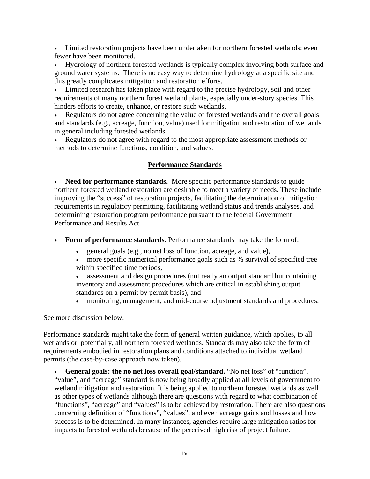• Limited restoration projects have been undertaken for northern forested wetlands; even fewer have been monitored.

• Hydrology of northern forested wetlands is typically complex involving both surface and ground water systems. There is no easy way to determine hydrology at a specific site and this greatly complicates mitigation and restoration efforts.

• Limited research has taken place with regard to the precise hydrology, soil and other requirements of many northern forest wetland plants, especially under-story species. This hinders efforts to create, enhance, or restore such wetlands.

• Regulators do not agree concerning the value of forested wetlands and the overall goals and standards (e.g., acreage, function, value) used for mitigation and restoration of wetlands in general including forested wetlands.

• Regulators do not agree with regard to the most appropriate assessment methods or methods to determine functions, condition, and values.

# **Performance Standards**

• **Need for performance standards.** More specific performance standards to guide northern forested wetland restoration are desirable to meet a variety of needs. These include improving the "success" of restoration projects, facilitating the determination of mitigation requirements in regulatory permitting, facilitating wetland status and trends analyses, and determining restoration program performance pursuant to the federal Government Performance and Results Act.

• **Form of performance standards.** Performance standards may take the form of:

- general goals (e.g., no net loss of function, acreage, and value),
- more specific numerical performance goals such as % survival of specified tree within specified time periods,
- assessment and design procedures (not really an output standard but containing inventory and assessment procedures which are critical in establishing output standards on a permit by permit basis), and
- monitoring, management, and mid-course adjustment standards and procedures.

See more discussion below.

Performance standards might take the form of general written guidance, which applies, to all wetlands or, potentially, all northern forested wetlands. Standards may also take the form of requirements embodied in restoration plans and conditions attached to individual wetland permits (the case-by-case approach now taken).

**General goals: the no net loss overall goal/standard.** "No net loss" of "function", "value", and "acreage" standard is now being broadly applied at all levels of government to wetland mitigation and restoration. It is being applied to northern forested wetlands as well as other types of wetlands although there are questions with regard to what combination of "functions", "acreage" and "values" is to be achieved by restoration. There are also questions concerning definition of "functions", "values", and even acreage gains and losses and how success is to be determined. In many instances, agencies require large mitigation ratios for impacts to forested wetlands because of the perceived high risk of project failure.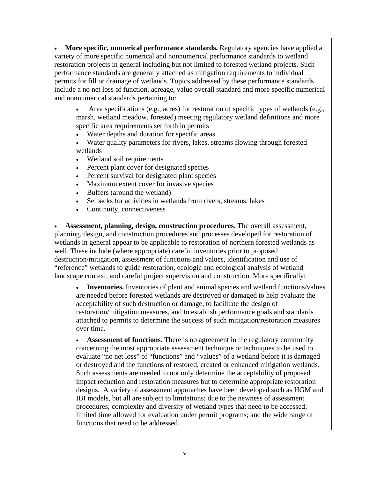• **More specific, numerical performance standards.** Regulatory agencies have applied a variety of more specific numerical and nonnumerical performance standards to wetland restoration projects in general including but not limited to forested wetland projects. Such performance standards are generally attached as mitigation requirements to individual permits for fill or drainage of wetlands. Topics addressed by these performance standards include a no net loss of function, acreage, value overall standard and more specific numerical and nonnumerical standards pertaining to:

• Area specifications (e.g., acres) for restoration of specific types of wetlands (e.g., marsh, wetland meadow, forested) meeting regulatory wetland definitions and more specific area requirements set forth in permits

- Water depths and duration for specific areas
- Water quality parameters for rivers, lakes, streams flowing through forested wetlands
- Wetland soil requirements
- Percent plant cover for designated species
- Percent survival for designated plant species
- Maximum extent cover for invasive species
- Buffers (around the wetland)
- Setbacks for activities in wetlands from rivers, streams, lakes
- Continuity, connectiveness

• **Assessment, planning, design, construction procedures.** The overall assessment, planning, design, and construction procedures and processes developed for restoration of wetlands in general appear to be applicable to restoration of northern forested wetlands as well. These include (where appropriate) careful inventories prior to proposed destruction/mitigation, assessment of functions and values, identification and use of "reference" wetlands to guide restoration, ecologic and ecological analysis of wetland landscape context, and careful project supervision and construction. More specifically:

• **Inventories.** Inventories of plant and animal species and wetland functions/values are needed before forested wetlands are destroyed or damaged to help evaluate the acceptability of such destruction or damage, to facilitate the design of restoration/mitigation measures, and to establish performance goals and standards attached to permits to determine the success of such mitigation/restoration measures over time.

• **Assessment of functions.** There is no agreement in the regulatory community concerning the most appropriate assessment technique or techniques to be used to evaluate "no net loss" of "functions" and "values" of a wetland before it is damaged or destroyed and the functions of restored, created or enhanced mitigation wetlands. Such assessments are needed to not only determine the acceptability of proposed impact reduction and restoration measures but to determine appropriate restoration designs. A variety of assessment approaches have been developed such as HGM and IBI models, but all are subject to limitations; due to the newness of assessment procedures; complexity and diversity of wetland types that need to be accessed; limited time allowed for evaluation under permit programs; and the wide range of functions that need to be addressed.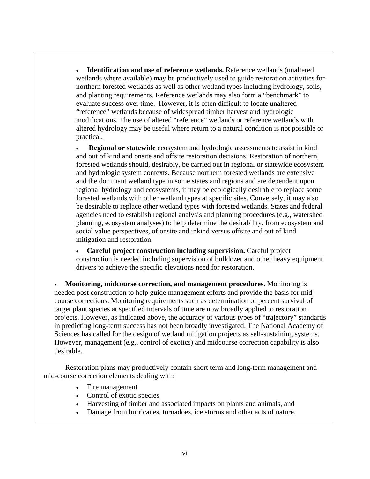• **Identification and use of reference wetlands.** Reference wetlands (unaltered wetlands where available) may be productively used to guide restoration activities for northern forested wetlands as well as other wetland types including hydrology, soils, and planting requirements. Reference wetlands may also form a "benchmark" to evaluate success over time. However, it is often difficult to locate unaltered "reference" wetlands because of widespread timber harvest and hydrologic modifications. The use of altered "reference" wetlands or reference wetlands with altered hydrology may be useful where return to a natural condition is not possible or practical.

• **Regional or statewide** ecosystem and hydrologic assessments to assist in kind and out of kind and onsite and offsite restoration decisions. Restoration of northern, forested wetlands should, desirably, be carried out in regional or statewide ecosystem and hydrologic system contexts. Because northern forested wetlands are extensive and the dominant wetland type in some states and regions and are dependent upon regional hydrology and ecosystems, it may be ecologically desirable to replace some forested wetlands with other wetland types at specific sites. Conversely, it may also be desirable to replace other wetland types with forested wetlands. States and federal agencies need to establish regional analysis and planning procedures (e.g., watershed planning, ecosystem analyses) to help determine the desirability, from ecosystem and social value perspectives, of onsite and inkind versus offsite and out of kind mitigation and restoration.

• **Careful project construction including supervision.** Careful project construction is needed including supervision of bulldozer and other heavy equipment drivers to achieve the specific elevations need for restoration.

• **Monitoring, midcourse correction, and management procedures.** Monitoring is needed post construction to help guide management efforts and provide the basis for midcourse corrections. Monitoring requirements such as determination of percent survival of target plant species at specified intervals of time are now broadly applied to restoration projects. However, as indicated above, the accuracy of various types of "trajectory" standards in predicting long-term success has not been broadly investigated. The National Academy of Sciences has called for the design of wetland mitigation projects as self-sustaining systems. However, management (e.g., control of exotics) and midcourse correction capability is also desirable.

Restoration plans may productively contain short term and long-term management and mid-course correction elements dealing with:

- Fire management
- Control of exotic species
- Harvesting of timber and associated impacts on plants and animals, and
- Damage from hurricanes, tornadoes, ice storms and other acts of nature.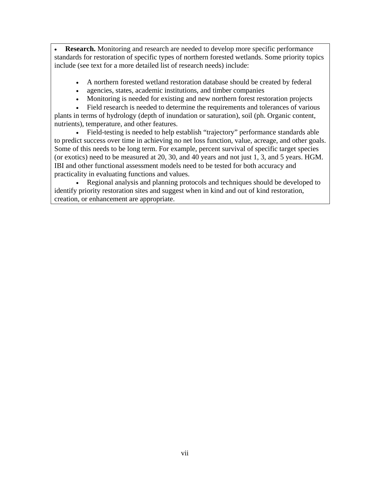**Research.** Monitoring and research are needed to develop more specific performance standards for restoration of specific types of northern forested wetlands. Some priority topics include (see text for a more detailed list of research needs) include:

- A northern forested wetland restoration database should be created by federal
- agencies, states, academic institutions, and timber companies
- Monitoring is needed for existing and new northern forest restoration projects

• Field research is needed to determine the requirements and tolerances of various plants in terms of hydrology (depth of inundation or saturation), soil (ph. Organic content, nutrients), temperature, and other features.

• Field-testing is needed to help establish "trajectory" performance standards able to predict success over time in achieving no net loss function, value, acreage, and other goals. Some of this needs to be long term. For example, percent survival of specific target species (or exotics) need to be measured at 20, 30, and 40 years and not just 1, 3, and 5 years. HGM. IBI and other functional assessment models need to be tested for both accuracy and practicality in evaluating functions and values.

• Regional analysis and planning protocols and techniques should be developed to identify priority restoration sites and suggest when in kind and out of kind restoration, creation, or enhancement are appropriate.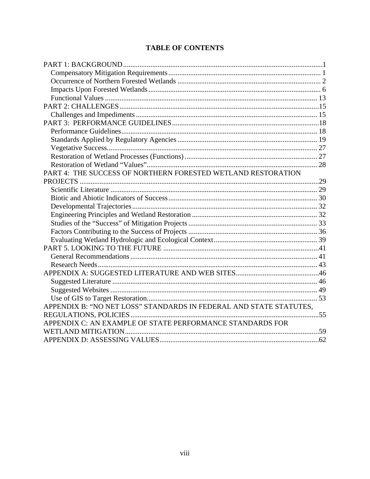# **TABLE OF CONTENTS**

| PART 4: THE SUCCESS OF NORTHERN FORESTED WETLAND RESTORATION       |  |
|--------------------------------------------------------------------|--|
|                                                                    |  |
|                                                                    |  |
|                                                                    |  |
|                                                                    |  |
|                                                                    |  |
|                                                                    |  |
|                                                                    |  |
|                                                                    |  |
|                                                                    |  |
|                                                                    |  |
|                                                                    |  |
|                                                                    |  |
|                                                                    |  |
|                                                                    |  |
|                                                                    |  |
| APPENDIX B: "NO NET LOSS" STANDARDS IN FEDERAL AND STATE STATUTES, |  |
|                                                                    |  |
| APPENDIX C: AN EXAMPLE OF STATE PERFORMANCE STANDARDS FOR          |  |
|                                                                    |  |
|                                                                    |  |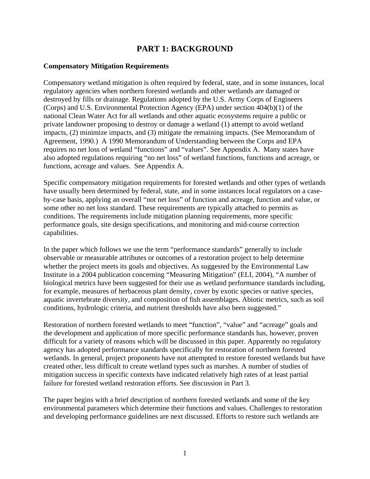## **PART 1: BACKGROUND**

#### **Compensatory Mitigation Requirements**

Compensatory wetland mitigation is often required by federal, state, and in some instances, local regulatory agencies when northern forested wetlands and other wetlands are damaged or destroyed by fills or drainage. Regulations adopted by the U.S. Army Corps of Engineers (Corps) and U.S. Environmental Protection Agency (EPA) under section 404(b)(1) of the national Clean Water Act for all wetlands and other aquatic ecosystems require a public or private landowner proposing to destroy or damage a wetland (1) attempt to avoid wetland impacts, (2) minimize impacts, and (3) mitigate the remaining impacts. (See Memorandum of Agreement, 1990.) A 1990 Memorandum of Understanding between the Corps and EPA requires no net loss of wetland "functions" and "values". See Appendix A. Many states have also adopted regulations requiring "no net loss" of wetland functions, functions and acreage, or functions, acreage and values. See Appendix A.

Specific compensatory mitigation requirements for forested wetlands and other types of wetlands have usually been determined by federal, state, and in some instances local regulators on a caseby-case basis, applying an overall "not net loss" of function and acreage, function and value, or some other no net loss standard. These requirements are typically attached to permits as conditions. The requirements include mitigation planning requirements, more specific performance goals, site design specifications, and monitoring and mid-course correction capabilities.

In the paper which follows we use the term "performance standards" generally to include observable or measurable attributes or outcomes of a restoration project to help determine whether the project meets its goals and objectives. As suggested by the Environmental Law Institute in a 2004 publication concerning "Measuring Mitigation" (ELI, 2004), "A number of biological metrics have been suggested for their use as wetland performance standards including, for example, measures of herbaceous plant density, cover by exotic species or native species, aquatic invertebrate diversity, and composition of fish assemblages. Abiotic metrics, such as soil conditions, hydrologic criteria, and nutrient thresholds have also been suggested."

Restoration of northern forested wetlands to meet "function", "value" and "acreage" goals and the development and application of more specific performance standards has, however, proven difficult for a variety of reasons which will be discussed in this paper. Apparently no regulatory agency has adopted performance standards specifically for restoration of northern forested wetlands. In general, project proponents have not attempted to restore forested wetlands but have created other, less difficult to create wetland types such as marshes. A number of studies of mitigation success in specific contexts have indicated relatively high rates of at least partial failure for forested wetland restoration efforts. See discussion in Part 3.

The paper begins with a brief description of northern forested wetlands and some of the key environmental parameters which determine their functions and values. Challenges to restoration and developing performance guidelines are next discussed. Efforts to restore such wetlands are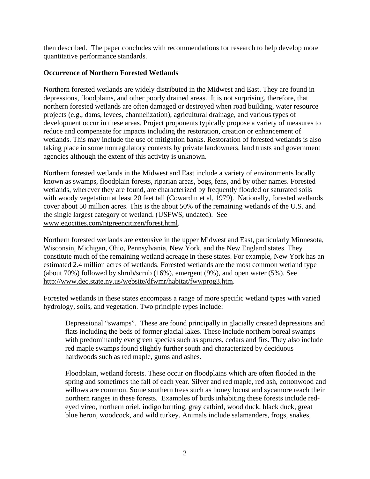then described. The paper concludes with recommendations for research to help develop more quantitative performance standards.

#### **Occurrence of Northern Forested Wetlands**

Northern forested wetlands are widely distributed in the Midwest and East. They are found in depressions, floodplains, and other poorly drained areas. It is not surprising, therefore, that northern forested wetlands are often damaged or destroyed when road building, water resource projects (e.g., dams, levees, channelization), agricultural drainage, and various types of development occur in these areas. Project proponents typically propose a variety of measures to reduce and compensate for impacts including the restoration, creation or enhancement of wetlands. This may include the use of mitigation banks. Restoration of forested wetlands is also taking place in some nonregulatory contexts by private landowners, land trusts and government agencies although the extent of this activity is unknown.

Northern forested wetlands in the Midwest and East include a variety of environments locally known as swamps, floodplain forests, riparian areas, bogs, fens, and by other names. Forested wetlands, wherever they are found, are characterized by frequently flooded or saturated soils with woody vegetation at least 20 feet tall (Cowardin et al, 1979). Nationally, forested wetlands cover about 50 million acres. This is the about 50% of the remaining wetlands of the U.S. and the single largest category of wetland. (USFWS, undated). See www.egocities.com/ntgreencitizen/forest.html.

Northern forested wetlands are extensive in the upper Midwest and East, particularly Minnesota, Wisconsin, Michigan, Ohio, Pennsylvania, New York, and the New England states. They constitute much of the remaining wetland acreage in these states. For example, New York has an estimated 2.4 million acres of wetlands. Forested wetlands are the most common wetland type (about 70%) followed by shrub/scrub (16%), emergent (9%), and open water (5%). See [http://www.dec.state.ny.us/website/dfwmr/habitat/fwwprog3.htm.](http://www.dec.state.ny.us/website/dfwmr/habitat/fwwprog3.htm)

Forested wetlands in these states encompass a range of more specific wetland types with varied hydrology, soils, and vegetation. Two principle types include:

Depressional "swamps". These are found principally in glacially created depressions and flats including the beds of former glacial lakes. These include northern boreal swamps with predominantly evergreen species such as spruces, cedars and firs. They also include red maple swamps found slightly further south and characterized by deciduous hardwoods such as red maple, gums and ashes.

Floodplain, wetland forests. These occur on floodplains which are often flooded in the spring and sometimes the fall of each year. Silver and red maple, red ash, cottonwood and willows are common. Some southern trees such as honey locust and sycamore reach their northern ranges in these forests. Examples of birds inhabiting these forests include redeyed vireo, northern oriel, indigo bunting, gray catbird, wood duck, black duck, great blue heron, woodcock, and wild turkey. Animals include salamanders, frogs, snakes,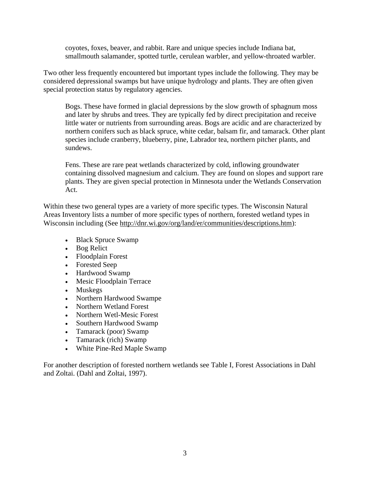coyotes, foxes, beaver, and rabbit. Rare and unique species include Indiana bat, smallmouth salamander, spotted turtle, cerulean warbler, and yellow-throated warbler.

Two other less frequently encountered but important types include the following. They may be considered depressional swamps but have unique hydrology and plants. They are often given special protection status by regulatory agencies.

Bogs. These have formed in glacial depressions by the slow growth of sphagnum moss and later by shrubs and trees. They are typically fed by direct precipitation and receive little water or nutrients from surrounding areas. Bogs are acidic and are characterized by northern conifers such as black spruce, white cedar, balsam fir, and tamarack. Other plant species include cranberry, blueberry, pine, Labrador tea, northern pitcher plants, and sundews.

Fens. These are rare peat wetlands characterized by cold, inflowing groundwater containing dissolved magnesium and calcium. They are found on slopes and support rare plants. They are given special protection in Minnesota under the Wetlands Conservation Act.

Within these two general types are a variety of more specific types. The Wisconsin Natural Areas Inventory lists a number of more specific types of northern, forested wetland types in Wisconsin including (See [http://dnr.wi.gov/org/land/er/communities/descriptions.htm\):](http://dnr.wi.gov/org/land/er/communities/descriptions.htm):)

- Black Spruce Swamp
- Bog Relict
- Floodplain Forest
- Forested Seep
- Hardwood Swamp
- Mesic Floodplain Terrace
- Muskegs
- Northern Hardwood Swampe
- Northern Wetland Forest
- Northern Wetl-Mesic Forest
- Southern Hardwood Swamp
- Tamarack (poor) Swamp
- Tamarack (rich) Swamp
- White Pine-Red Maple Swamp

For another description of forested northern wetlands see Table I, Forest Associations in Dahl and Zoltai. (Dahl and Zoltai, 1997).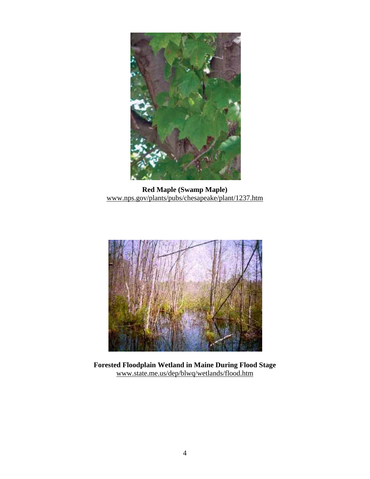

**Red Maple (Swamp Maple)**  www.nps.gov/plants/pubs/chesapeake/plant/1237.htm



**Forested Floodplain Wetland in Maine During Flood Stage**  www.state.me.us/dep/blwq/wetlands/flood.htm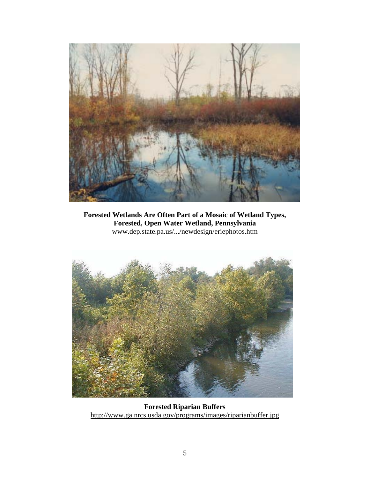

**Forested Wetlands Are Often Part of a Mosaic of Wetland Types, Forested, Open Water Wetland, Pennsylvania**  www.dep.state.pa.us/.../newdesign/eriephotos.htm



**Forested Riparian Buffers**  <http://www.ga.nrcs.usda.gov/programs/images/riparianbuffer.jpg>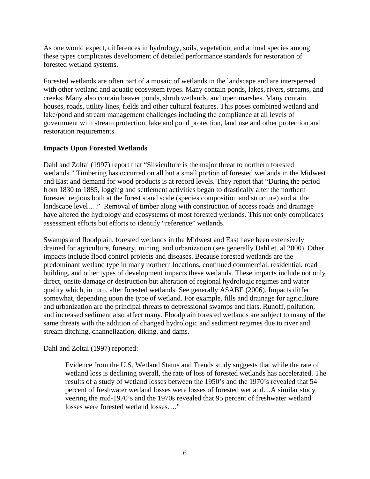As one would expect, differences in hydrology, soils, vegetation, and animal species among these types complicates development of detailed performance standards for restoration of forested wetland systems.

Forested wetlands are often part of a mosaic of wetlands in the landscape and are interspersed with other wetland and aquatic ecosystem types. Many contain ponds, lakes, rivers, streams, and creeks. Many also contain beaver ponds, shrub wetlands, and open marshes. Many contain houses, roads, utility lines, fields and other cultural features. This poses combined wetland and lake/pond and stream management challenges including the compliance at all levels of government with stream protection, lake and pond protection, land use and other protection and restoration requirements.

## **Impacts Upon Forested Wetlands**

Dahl and Zoltai (1997) report that "Silviculture is the major threat to northern forested wetlands." Timbering has occurred on all but a small portion of forested wetlands in the Midwest and East and demand for wood products is at record levels. They report that "During the period from 1830 to 1885, logging and settlement activities began to drastically alter the northern forested regions both at the forest stand scale (species composition and structure) and at the landscape level…." Removal of timber along with construction of access roads and drainage have altered the hydrology and ecosystems of most forested wetlands. This not only complicates assessment efforts but efforts to identify "reference" wetlands.

Swamps and floodplain, forested wetlands in the Midwest and East have been extensively drained for agriculture, forestry, mining, and urbanization (see generally Dahl et. al 2000). Other impacts include flood control projects and diseases. Because forested wetlands are the predominant wetland type in many northern locations, continued commercial, residential, road building, and other types of development impacts these wetlands. These impacts include not only direct, onsite damage or destruction but alteration of regional hydrologic regimes and water quality which, in turn, alter forested wetlands. See generally ASABE (2006). Impacts differ somewhat, depending upon the type of wetland. For example, fills and drainage for agriculture and urbanization are the principal threats to depressional swamps and flats. Runoff, pollution, and increased sediment also affect many. Floodplain forested wetlands are subject to many of the same threats with the addition of changed hydrologic and sediment regimes due to river and stream ditching, channelization, diking, and dams.

## Dahl and Zoltai (1997) reported:

Evidence from the U.S. Wetland Status and Trends study suggests that while the rate of wetland loss is declining overall, the rate of loss of forested wetlands has accelerated. The results of a study of wetland losses between the 1950's and the 1970's revealed that 54 percent of freshwater wetland losses were losses of forested wetland…A similar study veering the mid-1970's and the 1970s revealed that 95 percent of freshwater wetland losses were forested wetland losses…."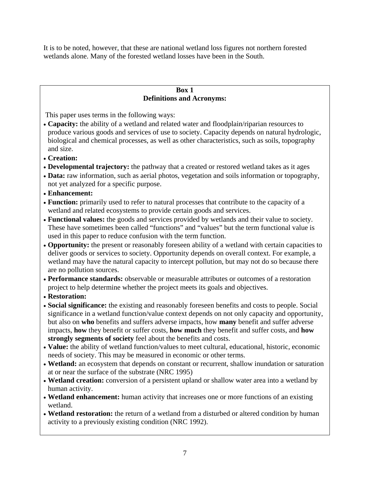It is to be noted, however, that these are national wetland loss figures not northern forested wetlands alone. Many of the forested wetland losses have been in the South.

#### **Box 1 Definitions and Acronyms:**

This paper uses terms in the following ways:

- **Capacity:** the ability of a wetland and related water and floodplain/riparian resources to produce various goods and services of use to society. Capacity depends on natural hydrologic, biological and chemical processes, as well as other characteristics, such as soils, topography and size.
- **Creation:**
- **Developmental trajectory:** the pathway that a created or restored wetland takes as it ages
- **Data:** raw information, such as aerial photos, vegetation and soils information or topography, not yet analyzed for a specific purpose.
- **Enhancement:**
- **Function:** primarily used to refer to natural processes that contribute to the capacity of a wetland and related ecosystems to provide certain goods and services.
- **Functional values:** the goods and services provided by wetlands and their value to society. These have sometimes been called "functions" and "values" but the term functional value is used in this paper to reduce confusion with the term function.
- **Opportunity:** the present or reasonably foreseen ability of a wetland with certain capacities to deliver goods or services to society. Opportunity depends on overall context. For example, a wetland may have the natural capacity to intercept pollution, but may not do so because there are no pollution sources.
- **Performance standards:** observable or measurable attributes or outcomes of a restoration project to help determine whether the project meets its goals and objectives.
- **Restoration:**
- **Social significance:** the existing and reasonably foreseen benefits and costs to people. Social significance in a wetland function/value context depends on not only capacity and opportunity, but also on **who** benefits and suffers adverse impacts, how **many** benefit and suffer adverse impacts, **how** they benefit or suffer costs, **how much** they benefit and suffer costs, and **how strongly segments of society** feel about the benefits and costs.
- **Value:** the ability of wetland function/values to meet cultural, educational, historic, economic needs of society. This may be measured in economic or other terms.
- **Wetland:** an ecosystem that depends on constant or recurrent, shallow inundation or saturation at or near the surface of the substrate (NRC 1995)
- **Wetland creation:** conversion of a persistent upland or shallow water area into a wetland by human activity.
- **Wetland enhancement:** human activity that increases one or more functions of an existing wetland.
- **Wetland restoration:** the return of a wetland from a disturbed or altered condition by human activity to a previously existing condition (NRC 1992).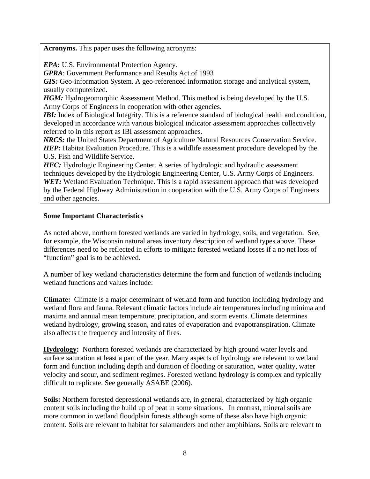**Acronyms.** This paper uses the following acronyms:

*EPA:* U.S. Environmental Protection Agency.

*GPRA*: Government Performance and Results Act of 1993

*GIS:* Geo-information System. A geo-referenced information storage and analytical system, usually computerized.

*HGM:* Hydrogeomorphic Assessment Method. This method is being developed by the U.S. Army Corps of Engineers in cooperation with other agencies.

*IBI:* Index of Biological Integrity. This is a reference standard of biological health and condition, developed in accordance with various biological indicator assessment approaches collectively referred to in this report as IBI assessment approaches.

*NRCS:* the United States Department of Agriculture Natural Resources Conservation Service. *HEP:* Habitat Evaluation Procedure. This is a wildlife assessment procedure developed by the U.S. Fish and Wildlife Service.

**HEC:** Hydrologic Engineering Center. A series of hydrologic and hydraulic assessment techniques developed by the Hydrologic Engineering Center, U.S. Army Corps of Engineers. **WET:** Wetland Evaluation Technique. This is a rapid assessment approach that was developed by the Federal Highway Administration in cooperation with the U.S. Army Corps of Engineers and other agencies.

## **Some Important Characteristics**

As noted above, northern forested wetlands are varied in hydrology, soils, and vegetation. See, for example, the Wisconsin natural areas inventory description of wetland types above. These differences need to be reflected in efforts to mitigate forested wetland losses if a no net loss of "function" goal is to be achieved.

A number of key wetland characteristics determine the form and function of wetlands including wetland functions and values include:

**Climate:** Climate is a major determinant of wetland form and function including hydrology and wetland flora and fauna. Relevant climatic factors include air temperatures including minima and maxima and annual mean temperature, precipitation, and storm events. Climate determines wetland hydrology, growing season, and rates of evaporation and evapotranspiration. Climate also affects the frequency and intensity of fires.

**Hydrology:** Northern forested wetlands are characterized by high ground water levels and surface saturation at least a part of the year. Many aspects of hydrology are relevant to wetland form and function including depth and duration of flooding or saturation, water quality, water velocity and scour, and sediment regimes. Forested wetland hydrology is complex and typically difficult to replicate. See generally ASABE (2006).

**Soils:** Northern forested depressional wetlands are, in general, characterized by high organic content soils including the build up of peat in some situations. In contrast, mineral soils are more common in wetland floodplain forests although some of these also have high organic content. Soils are relevant to habitat for salamanders and other amphibians. Soils are relevant to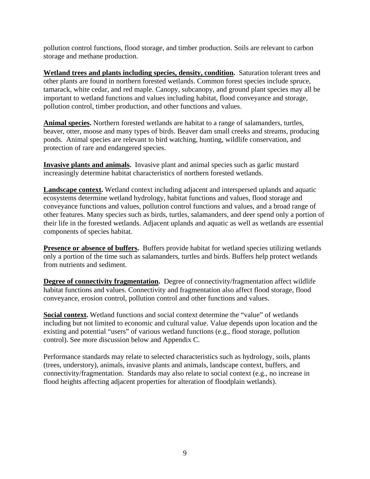pollution control functions, flood storage, and timber production. Soils are relevant to carbon storage and methane production.

**Wetland trees and plants including species, density, condition.** Saturation tolerant trees and other plants are found in northern forested wetlands. Common forest species include spruce, tamarack, white cedar, and red maple. Canopy, subcanopy, and ground plant species may all be important to wetland functions and values including habitat, flood conveyance and storage, pollution control, timber production, and other functions and values.

**Animal species.** Northern forested wetlands are habitat to a range of salamanders, turtles, beaver, otter, moose and many types of birds. Beaver dam small creeks and streams, producing ponds. Animal species are relevant to bird watching, hunting, wildlife conservation, and protection of rare and endangered species.

**Invasive plants and animals.** Invasive plant and animal species such as garlic mustard increasingly determine habitat characteristics of northern forested wetlands.

**Landscape context.** Wetland context including adjacent and interspersed uplands and aquatic ecosystems determine wetland hydrology, habitat functions and values, flood storage and conveyance functions and values, pollution control functions and values, and a broad range of other features. Many species such as birds, turtles, salamanders, and deer spend only a portion of their life in the forested wetlands. Adjacent uplands and aquatic as well as wetlands are essential components of species habitat.

**Presence or absence of buffers.** Buffers provide habitat for wetland species utilizing wetlands only a portion of the time such as salamanders, turtles and birds. Buffers help protect wetlands from nutrients and sediment.

**Degree of connectivity fragmentation.** Degree of connectivity/fragmentation affect wildlife habitat functions and values. Connectivity and fragmentation also affect flood storage, flood conveyance, erosion control, pollution control and other functions and values.

**Social context.** Wetland functions and social context determine the "value" of wetlands including but not limited to economic and cultural value. Value depends upon location and the existing and potential "users" of various wetland functions (e.g., flood storage, pollution control). See more discussion below and Appendix C.

Performance standards may relate to selected characteristics such as hydrology, soils, plants (trees, understory), animals, invasive plants and animals, landscape context, buffers, and connectivity/fragmentation. Standards may also relate to social context (e.g., no increase in flood heights affecting adjacent properties for alteration of floodplain wetlands).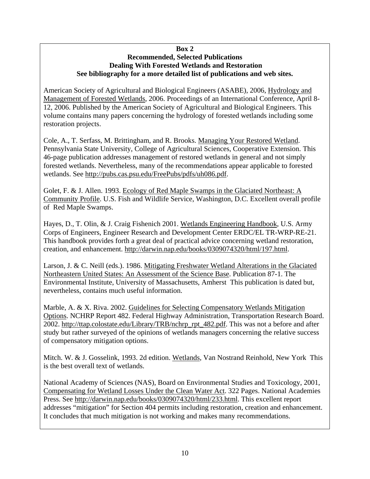#### **Box 2 Recommended, Selected Publications Dealing With Forested Wetlands and Restoration See bibliography for a more detailed list of publications and web sites.**

American Society of Agricultural and Biological Engineers (ASABE), 2006, Hydrology and Management of Forested Wetlands, 2006. Proceedings of an International Conference, April 8- 12, 2006. Published by the American Society of Agricultural and Biological Engineers. This volume contains many papers concerning the hydrology of forested wetlands including some restoration projects.

Cole, A., T. Serfass, M. Brittingham, and R. Brooks. Managing Your Restored Wetland. Pennsylvania State University, College of Agricultural Sciences, Cooperative Extension. This 46-page publication addresses management of restored wetlands in general and not simply forested wetlands. Nevertheless, many of the recommendations appear applicable to forested wetlands. See [http://pubs.cas.psu.edu/FreePubs/pdfs/uh086.pdf.](http://pubs.cas.psu.edu/FreePubs/pdfs/uh086.pdf) 

Golet, F. & J. Allen. 1993. Ecology of Red Maple Swamps in the Glaciated Northeast: A Community Profile. U.S. Fish and Wildlife Service, Washington, D.C. Excellent overall profile of Red Maple Swamps.

Hayes, D., T. Olin, & J. Craig Fishenich 2001. Wetlands Engineering Handbook, U.S. Army Corps of Engineers, Engineer Research and Development Center ERDC/EL TR-WRP-RE-21. This handbook provides forth a great deal of practical advice concerning wetland restoration, creation, and enhancement. [http://darwin.nap.edu/books/0309074320/html/197.html.](http://darwin.nap.edu/books/0309074320/html/197.html) 

Larson, J. & C. Neill (eds.). 1986. Mitigating Freshwater Wetland Alterations in the Glaciated Northeastern United States: An Assessment of the Science Base. Publication 87-1. The Environmental Institute, University of Massachusetts, Amherst This publication is dated but, nevertheless, contains much useful information.

Marble, A. & X. Riva. 2002. Guidelines for Selecting Compensatory Wetlands Mitigation Options. NCHRP Report 482. Federal Highway Administration, Transportation Research Board. 2002. [http://ttap.colostate.edu/Library/TRB/nchrp\\_rpt\\_482.pdf.](http://ttap.colostate.edu/Library/TRB/nchrp_rpt_482.pdf) This was not a before and after study but rather surveyed of the opinions of wetlands managers concerning the relative success of compensatory mitigation options.

Mitch. W. & J. Gosselink, 1993. 2d edition. Wetlands, Van Nostrand Reinhold, New York This is the best overall text of wetlands.

National Academy of Sciences (NAS), Board on Environmental Studies and Toxicology, 2001, Compensating for Wetland Losses Under the Clean Water Act. 322 Pages. National Academies Press. See [http://darwin.nap.edu/books/0309074320/html/233.html.](http://darwin.nap.edu/books/0309074320/html/233.html) This excellent report addresses "mitigation" for Section 404 permits including restoration, creation and enhancement. It concludes that much mitigation is not working and makes many recommendations.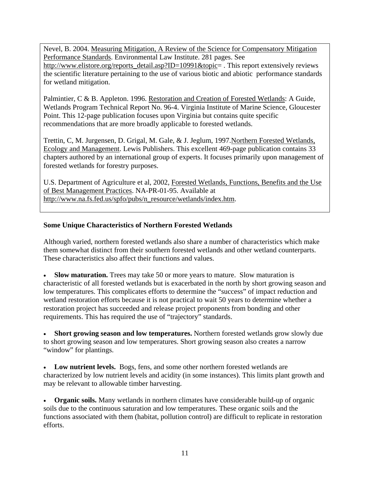Nevel, B. 2004. Measuring Mitigation, A Review of the Science for Compensatory Mitigation Performance Standards. Environmental Law Institute. 281 pages. See [http://www.elistore.org/reports\\_detail.asp?ID=10991&topic=](http://www.elistore.org/reports_detail.asp?ID=10991&topic=) . This report extensively reviews the scientific literature pertaining to the use of various biotic and abiotic performance standards for wetland mitigation.

Palmintier, C & B. Appleton. 1996. Restoration and Creation of Forested Wetlands: A Guide, Wetlands Program Technical Report No. 96-4. Virginia Institute of Marine Science, Gloucester Point. This 12-page publication focuses upon Virginia but contains quite specific recommendations that are more broadly applicable to forested wetlands.

Trettin, C, M. Jurgensen, D. Grigal, M. Gale, & J. Jeglum, 1997.Northern Forested Wetlands, Ecology and Management. Lewis Publishers. This excellent 469-page publication contains 33 chapters authored by an international group of experts. It focuses primarily upon management of forested wetlands for forestry purposes.

U.S. Department of Agriculture et al, 2002, Forested Wetlands, Functions, Benefits and the Use of Best Management Practices. NA-PR-01-95. Available at [http://www.na.fs.fed.us/spfo/pubs/n\\_resource/wetlands/index.htm.](http://www.na.fs.fed.us/spfo/pubs/n_resource/wetlands/index.htm)

## **Some Unique Characteristics of Northern Forested Wetlands**

Although varied, northern forested wetlands also share a number of characteristics which make them somewhat distinct from their southern forested wetlands and other wetland counterparts. These characteristics also affect their functions and values.

• **Slow maturation.** Trees may take 50 or more years to mature. Slow maturation is characteristic of all forested wetlands but is exacerbated in the north by short growing season and low temperatures. This complicates efforts to determine the "success" of impact reduction and wetland restoration efforts because it is not practical to wait 50 years to determine whether a restoration project has succeeded and release project proponents from bonding and other requirements. This has required the use of "trajectory" standards.

• **Short growing season and low temperatures.** Northern forested wetlands grow slowly due to short growing season and low temperatures. Short growing season also creates a narrow "window" for plantings.

• **Low nutrient levels.** Bogs, fens, and some other northern forested wetlands are characterized by low nutrient levels and acidity (in some instances). This limits plant growth and may be relevant to allowable timber harvesting.

• **Organic soils.** Many wetlands in northern climates have considerable build-up of organic soils due to the continuous saturation and low temperatures. These organic soils and the functions associated with them (habitat, pollution control) are difficult to replicate in restoration efforts.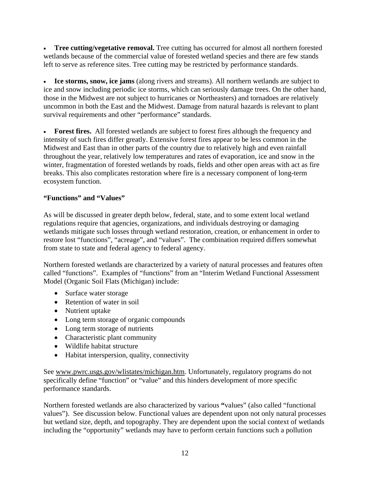• **Tree cutting/vegetative removal.** Tree cutting has occurred for almost all northern forested wetlands because of the commercial value of forested wetland species and there are few stands left to serve as reference sites. Tree cutting may be restricted by performance standards.

• **Ice storms, snow, ice jams** (along rivers and streams). All northern wetlands are subject to ice and snow including periodic ice storms, which can seriously damage trees. On the other hand, those in the Midwest are not subject to hurricanes or Northeasters) and tornadoes are relatively uncommon in both the East and the Midwest. Damage from natural hazards is relevant to plant survival requirements and other "performance" standards.

• **Forest fires.** All forested wetlands are subject to forest fires although the frequency and intensity of such fires differ greatly. Extensive forest fires appear to be less common in the Midwest and East than in other parts of the country due to relatively high and even rainfall throughout the year, relatively low temperatures and rates of evaporation, ice and snow in the winter, fragmentation of forested wetlands by roads, fields and other open areas with act as fire breaks. This also complicates restoration where fire is a necessary component of long-term ecosystem function.

## **"Functions" and "Values"**

As will be discussed in greater depth below, federal, state, and to some extent local wetland regulations require that agencies, organizations, and individuals destroying or damaging wetlands mitigate such losses through wetland restoration, creation, or enhancement in order to restore lost "functions", "acreage", and "values". The combination required differs somewhat from state to state and federal agency to federal agency.

Northern forested wetlands are characterized by a variety of natural processes and features often called "functions".Examples of "functions" from an "Interim Wetland Functional Assessment Model (Organic Soil Flats (Michigan) include:

- Surface water storage
- Retention of water in soil
- Nutrient uptake
- Long term storage of organic compounds
- Long term storage of nutrients
- Characteristic plant community
- Wildlife habitat structure
- Habitat interspersion, quality, connectivity

See www.pwrc.usgs.gov/wlistates/michigan.htm. Unfortunately, regulatory programs do not specifically define "function" or "value" and this hinders development of more specific performance standards.

Northern forested wetlands are also characterized by various **"**values" (also called "functional values"). See discussion below. Functional values are dependent upon not only natural processes but wetland size, depth, and topography. They are dependent upon the social context of wetlands including the "opportunity" wetlands may have to perform certain functions such a pollution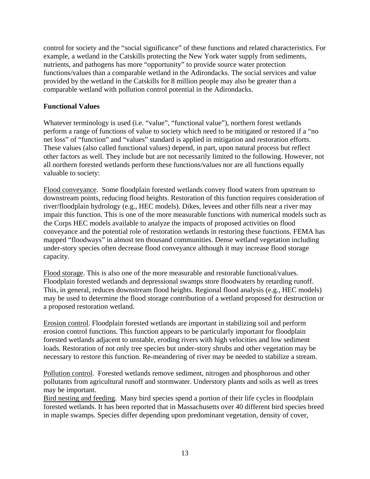control for society and the "social significance" of these functions and related characteristics. For example, a wetland in the Catskills protecting the New York water supply from sediments, nutrients, and pathogens has more "opportunity" to provide source water protection functions/values than a comparable wetland in the Adirondacks. The social services and value provided by the wetland in the Catskills for 8 million people may also be greater than a comparable wetland with pollution control potential in the Adirondacks.

#### **Functional Values**

Whatever terminology is used (i.e. "value", "functional value"), northern forest wetlands perform a range of functions of value to society which need to be mitigated or restored if a "no net loss" of "function" and "values" standard is applied in mitigation and restoration efforts. These values (also called functional values) depend, in part, upon natural process but reflect other factors as well. They include but are not necessarily limited to the following. However, not all northern forested wetlands perform these functions/values nor are all functions equally valuable to society:

Flood conveyance. Some floodplain forested wetlands convey flood waters from upstream to downstream points, reducing flood heights. Restoration of this function requires consideration of river/floodplain hydrology (e.g., HEC models). Dikes, levees and other fills near a river may impair this function. This is one of the more measurable functions with numerical models such as the Corps HEC models available to analyze the impacts of proposed activities on flood conveyance and the potential role of restoration wetlands in restoring these functions. FEMA has mapped "floodways" in almost ten thousand communities. Dense wetland vegetation including under-story species often decrease flood conveyance although it may increase flood storage capacity.

Flood storage. This is also one of the more measurable and restorable functional/values. Floodplain forested wetlands and depressional swamps store floodwaters by retarding runoff. This, in general, reduces downstream flood heights. Regional flood analysis (e.g., HEC models) may be used to determine the flood storage contribution of a wetland proposed for destruction or a proposed restoration wetland.

Erosion control. Floodplain forested wetlands are important in stabilizing soil and perform erosion control functions. This function appears to be particularly important for floodplain forested wetlands adjacent to unstable, eroding rivers with high velocities and low sediment loads. Restoration of not only tree species but under-story shrubs and other vegetation may be necessary to restore this function. Re-meandering of river may be needed to stabilize a stream.

Pollution control. Forested wetlands remove sediment, nitrogen and phosphorous and other pollutants from agricultural runoff and stormwater. Understory plants and soils as well as trees may be important.

Bird nesting and feeding. Many bird species spend a portion of their life cycles in floodplain forested wetlands. It has been reported that in Massachusetts over 40 different bird species breed in maple swamps. Species differ depending upon predominant vegetation, density of cover,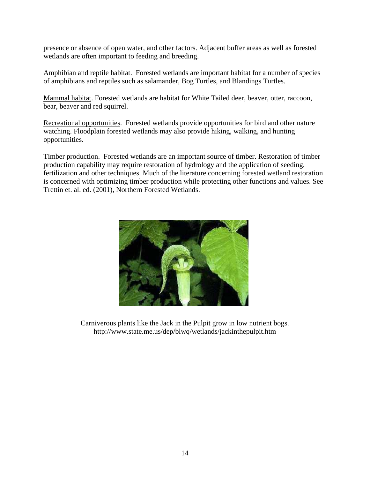presence or absence of open water, and other factors. Adjacent buffer areas as well as forested wetlands are often important to feeding and breeding.

Amphibian and reptile habitat. Forested wetlands are important habitat for a number of species of amphibians and reptiles such as salamander, Bog Turtles, and Blandings Turtles.

Mammal habitat. Forested wetlands are habitat for White Tailed deer, beaver, otter, raccoon, bear, beaver and red squirrel.

Recreational opportunities. Forested wetlands provide opportunities for bird and other nature watching. Floodplain forested wetlands may also provide hiking, walking, and hunting opportunities.

Timber production. Forested wetlands are an important source of timber. Restoration of timber production capability may require restoration of hydrology and the application of seeding, fertilization and other techniques. Much of the literature concerning forested wetland restoration is concerned with optimizing timber production while protecting other functions and values. See Trettin et. al. ed. (2001), Northern Forested Wetlands.



Carniverous plants like the Jack in the Pulpit grow in low nutrient bogs. <http://www.state.me.us/dep/blwq/wetlands/jackinthepulpit.htm>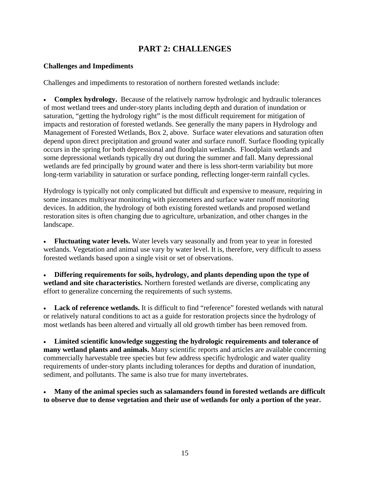# **PART 2: CHALLENGES**

## **Challenges and Impediments**

Challenges and impediments to restoration of northern forested wetlands include:

• **Complex hydrology.** Because of the relatively narrow hydrologic and hydraulic tolerances of most wetland trees and under-story plants including depth and duration of inundation or saturation, "getting the hydrology right" is the most difficult requirement for mitigation of impacts and restoration of forested wetlands. See generally the many papers in Hydrology and Management of Forested Wetlands, Box 2, above. Surface water elevations and saturation often depend upon direct precipitation and ground water and surface runoff. Surface flooding typically occurs in the spring for both depressional and floodplain wetlands. Floodplain wetlands and some depressional wetlands typically dry out during the summer and fall. Many depressional wetlands are fed principally by ground water and there is less short-term variability but more long-term variability in saturation or surface ponding, reflecting longer-term rainfall cycles.

Hydrology is typically not only complicated but difficult and expensive to measure, requiring in some instances multiyear monitoring with piezometers and surface water runoff monitoring devices. In addition, the hydrology of both existing forested wetlands and proposed wetland restoration sites is often changing due to agriculture, urbanization, and other changes in the landscape.

• **Fluctuating water levels.** Water levels vary seasonally and from year to year in forested wetlands. Vegetation and animal use vary by water level. It is, therefore, very difficult to assess forested wetlands based upon a single visit or set of observations.

• **Differing requirements for soils, hydrology, and plants depending upon the type of wetland and site characteristics.** Northern forested wetlands are diverse, complicating any effort to generalize concerning the requirements of such systems.

**Lack of reference wetlands.** It is difficult to find "reference" forested wetlands with natural or relatively natural conditions to act as a guide for restoration projects since the hydrology of most wetlands has been altered and virtually all old growth timber has been removed from.

• **Limited scientific knowledge suggesting the hydrologic requirements and tolerance of many wetland plants and animals.** Many scientific reports and articles are available concerning commercially harvestable tree species but few address specific hydrologic and water quality requirements of under-story plants including tolerances for depths and duration of inundation, sediment, and pollutants. The same is also true for many invertebrates.

• **Many of the animal species such as salamanders found in forested wetlands are difficult to observe due to dense vegetation and their use of wetlands for only a portion of the year.**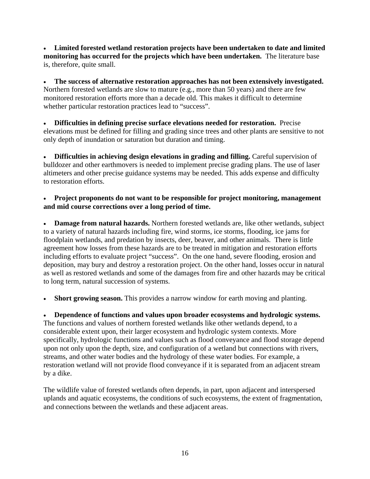• **Limited forested wetland restoration projects have been undertaken to date and limited monitoring has occurred for the projects which have been undertaken.** The literature base is, therefore, quite small.

• **The success of alternative restoration approaches has not been extensively investigated.**  Northern forested wetlands are slow to mature (e.g., more than 50 years) and there are few monitored restoration efforts more than a decade old. This makes it difficult to determine whether particular restoration practices lead to "success".

• **Difficulties in defining precise surface elevations needed for restoration.** Precise elevations must be defined for filling and grading since trees and other plants are sensitive to not only depth of inundation or saturation but duration and timing.

• **Difficulties in achieving design elevations in grading and filling.** Careful supervision of bulldozer and other earthmovers is needed to implement precise grading plans. The use of laser altimeters and other precise guidance systems may be needed. This adds expense and difficulty to restoration efforts.

## • **Project proponents do not want to be responsible for project monitoring, management and mid course corrections over a long period of time.**

• **Damage from natural hazards.** Northern forested wetlands are, like other wetlands, subject to a variety of natural hazards including fire, wind storms, ice storms, flooding, ice jams for floodplain wetlands, and predation by insects, deer, beaver, and other animals. There is little agreement how losses from these hazards are to be treated in mitigation and restoration efforts including efforts to evaluate project "success". On the one hand, severe flooding, erosion and deposition, may bury and destroy a restoration project. On the other hand, losses occur in natural as well as restored wetlands and some of the damages from fire and other hazards may be critical to long term, natural succession of systems.

**Short growing season.** This provides a narrow window for earth moving and planting.

• **Dependence of functions and values upon broader ecosystems and hydrologic systems.**  The functions and values of northern forested wetlands like other wetlands depend, to a considerable extent upon, their larger ecosystem and hydrologic system contexts. More specifically, hydrologic functions and values such as flood conveyance and flood storage depend upon not only upon the depth, size, and configuration of a wetland but connections with rivers, streams, and other water bodies and the hydrology of these water bodies. For example, a restoration wetland will not provide flood conveyance if it is separated from an adjacent stream by a dike.

The wildlife value of forested wetlands often depends, in part, upon adjacent and interspersed uplands and aquatic ecosystems, the conditions of such ecosystems, the extent of fragmentation, and connections between the wetlands and these adjacent areas.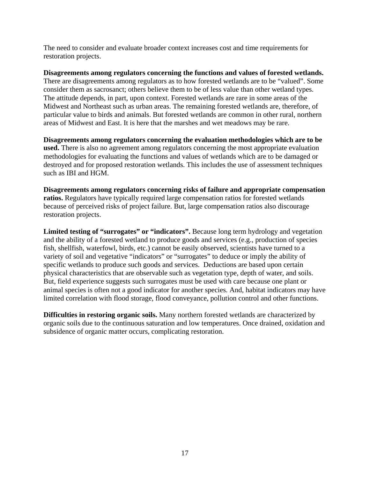The need to consider and evaluate broader context increases cost and time requirements for restoration projects.

**Disagreements among regulators concerning the functions and values of forested wetlands.**  There are disagreements among regulators as to how forested wetlands are to be "valued". Some consider them as sacrosanct; others believe them to be of less value than other wetland types. The attitude depends, in part, upon context. Forested wetlands are rare in some areas of the Midwest and Northeast such as urban areas. The remaining forested wetlands are, therefore, of particular value to birds and animals. But forested wetlands are common in other rural, northern areas of Midwest and East. It is here that the marshes and wet meadows may be rare.

**Disagreements among regulators concerning the evaluation methodologies which are to be used.** There is also no agreement among regulators concerning the most appropriate evaluation methodologies for evaluating the functions and values of wetlands which are to be damaged or destroyed and for proposed restoration wetlands. This includes the use of assessment techniques such as IBI and HGM.

**Disagreements among regulators concerning risks of failure and appropriate compensation ratios.** Regulators have typically required large compensation ratios for forested wetlands because of perceived risks of project failure. But, large compensation ratios also discourage restoration projects.

Limited testing of "surrogates" or "indicators". Because long term hydrology and vegetation and the ability of a forested wetland to produce goods and services (e.g., production of species fish, shellfish, waterfowl, birds, etc.) cannot be easily observed, scientists have turned to a variety of soil and vegetative "indicators" or "surrogates" to deduce or imply the ability of specific wetlands to produce such goods and services. Deductions are based upon certain physical characteristics that are observable such as vegetation type, depth of water, and soils. But, field experience suggests such surrogates must be used with care because one plant or animal species is often not a good indicator for another species. And, habitat indicators may have limited correlation with flood storage, flood conveyance, pollution control and other functions.

**Difficulties in restoring organic soils.** Many northern forested wetlands are characterized by organic soils due to the continuous saturation and low temperatures. Once drained, oxidation and subsidence of organic matter occurs, complicating restoration.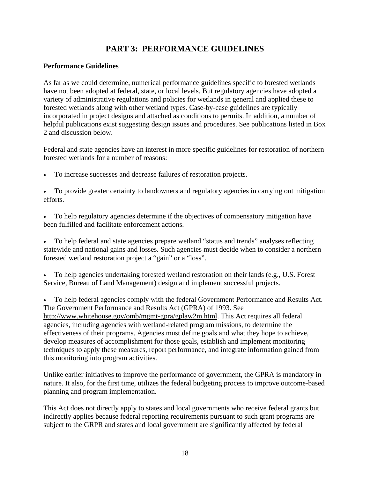# **PART 3: PERFORMANCE GUIDELINES**

#### **Performance Guidelines**

As far as we could determine, numerical performance guidelines specific to forested wetlands have not been adopted at federal, state, or local levels. But regulatory agencies have adopted a variety of administrative regulations and policies for wetlands in general and applied these to forested wetlands along with other wetland types. Case-by-case guidelines are typically incorporated in project designs and attached as conditions to permits. In addition, a number of helpful publications exist suggesting design issues and procedures. See publications listed in Box 2 and discussion below.

Federal and state agencies have an interest in more specific guidelines for restoration of northern forested wetlands for a number of reasons:

• To increase successes and decrease failures of restoration projects.

• To provide greater certainty to landowners and regulatory agencies in carrying out mitigation efforts.

• To help regulatory agencies determine if the objectives of compensatory mitigation have been fulfilled and facilitate enforcement actions.

• To help federal and state agencies prepare wetland "status and trends" analyses reflecting statewide and national gains and losses. Such agencies must decide when to consider a northern forested wetland restoration project a "gain" or a "loss".

• To help agencies undertaking forested wetland restoration on their lands (e.g., U.S. Forest Service, Bureau of Land Management) design and implement successful projects.

• To help federal agencies comply with the federal Government Performance and Results Act. The Government Performance and Results Act (GPRA) of 1993. See [http://www.whitehouse.gov/omb/mgmt-gpra/gplaw2m.html.](http://www.whitehouse.gov/omb/mgmt-gpra/gplaw2m.html) This Act requires all federal agencies, including agencies with wetland-related program missions, to determine the effectiveness of their programs. Agencies must define goals and what they hope to achieve, develop measures of accomplishment for those goals, establish and implement monitoring techniques to apply these measures, report performance, and integrate information gained from this monitoring into program activities.

Unlike earlier initiatives to improve the performance of government, the GPRA is mandatory in nature. It also, for the first time, utilizes the federal budgeting process to improve outcome-based planning and program implementation.

This Act does not directly apply to states and local governments who receive federal grants but indirectly applies because federal reporting requirements pursuant to such grant programs are subject to the GRPR and states and local government are significantly affected by federal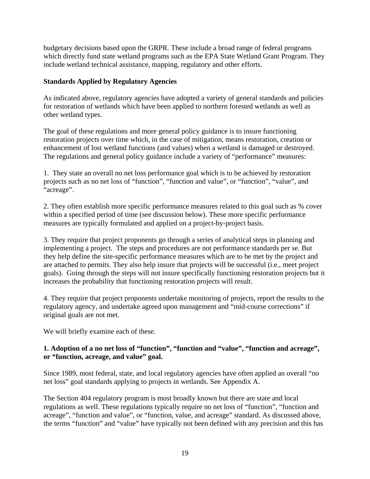budgetary decisions based upon the GRPR. These include a broad range of federal programs which directly fund state wetland programs such as the EPA State Wetland Grant Program. They include wetland technical assistance, mapping, regulatory and other efforts.

#### **Standards Applied by Regulatory Agencies**

As indicated above, regulatory agencies have adopted a variety of general standards and policies for restoration of wetlands which have been applied to northern forested wetlands as well as other wetland types.

The goal of these regulations and more general policy guidance is to insure functioning restoration projects over time which, in the case of mitigation, means restoration, creation or enhancement of lost wetland functions (and values) when a wetland is damaged or destroyed. The regulations and general policy guidance include a variety of "performance" measures:

1. They state an overall no net loss performance goal which is to be achieved by restoration projects such as no net loss of "function", "function and value", or "function", "value", and "acreage".

2. They often establish more specific performance measures related to this goal such as % cover within a specified period of time (see discussion below). These more specific performance measures are typically formulated and applied on a project-by-project basis.

3. They require that project proponents go through a series of analytical steps in planning and implementing a project. The steps and procedures are not performance standards per se. But they help define the site-specific performance measures which are to be met by the project and are attached to permits. They also help insure that projects will be successful (i.e., meet project goals). Going through the steps will not insure specifically functioning restoration projects but it increases the probability that functioning restoration projects will result.

4. They require that project proponents undertake monitoring of projects, report the results to the regulatory agency, and undertake agreed upon management and "mid-course corrections" if original goals are not met.

We will briefly examine each of these.

## **1. Adoption of a no net loss of "function", "function and "value", "function and acreage", or "function, acreage, and value" goal.**

Since 1989, most federal, state, and local regulatory agencies have often applied an overall "no net loss" goal standards applying to projects in wetlands. See Appendix A.

The Section 404 regulatory program is most broadly known but there are state and local regulations as well. These regulations typically require no net loss of "function", "function and acreage", "function and value", or "function, value, and acreage" standard. As discussed above, the terms "function" and "value" have typically not been defined with any precision and this has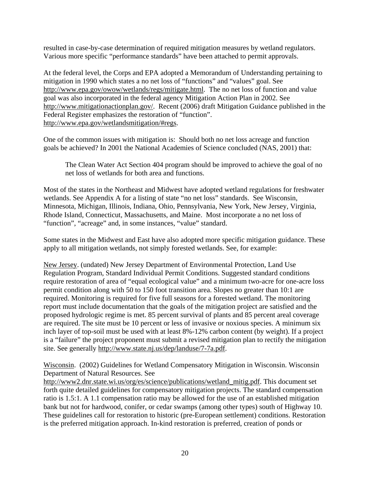resulted in case-by-case determination of required mitigation measures by wetland regulators. Various more specific "performance standards" have been attached to permit approvals.

At the federal level, the Corps and EPA adopted a Memorandum of Understanding pertaining to mitigation in 1990 which states a no net loss of "functions" and "values" goal. See [http://www.epa.gov/owow/wetlands/regs/mitigate.html.](http://www.epa.gov/owow/wetlands/regs/mitigate.html) The no net loss of function and value goal was also incorporated in the federal agency Mitigation Action Plan in 2002. See [http://www.mitigationactionplan.gov/.](http://www.mitigationactionplan.gov/) Recent (2006) draft Mitigation Guidance published in the Federal Register emphasizes the restoration of "function". [http://www.epa.gov/wetlandsmitigation/#regs.](http://www.epa.gov/wetlandsmitigation/#regs)

One of the common issues with mitigation is: Should both no net loss acreage and function goals be achieved? In 2001 the National Academies of Science concluded (NAS, 2001) that:

The Clean Water Act Section 404 program should be improved to achieve the goal of no net loss of wetlands for both area and functions.

Most of the states in the Northeast and Midwest have adopted wetland regulations for freshwater wetlands. See Appendix A for a listing of state "no net loss" standards. See Wisconsin, Minnesota, Michigan, Illinois, Indiana, Ohio, Pennsylvania, New York, New Jersey, Virginia, Rhode Island, Connecticut, Massachusetts, and Maine. Most incorporate a no net loss of "function", "acreage" and, in some instances, "value" standard.

Some states in the Midwest and East have also adopted more specific mitigation guidance. These apply to all mitigation wetlands, not simply forested wetlands. See, for example:

New Jersey. (undated) New Jersey Department of Environmental Protection, Land Use Regulation Program, Standard Individual Permit Conditions. Suggested standard conditions require restoration of area of "equal ecological value" and a minimum two-acre for one-acre loss permit condition along with 50 to 150 foot transition area. Slopes no greater than 10:1 are required. Monitoring is required for five full seasons for a forested wetland. The monitoring report must include documentation that the goals of the mitigation project are satisfied and the proposed hydrologic regime is met. 85 percent survival of plants and 85 percent areal coverage are required. The site must be 10 percent or less of invasive or noxious species. A minimum six inch layer of top-soil must be used with at least 8%-12% carbon content (by weight). If a project is a "failure" the project proponent must submit a revised mitigation plan to rectify the mitigation site. See generally [http://www.state.nj.us/dep/landuse/7-7a.pdf.](http://www.state.nj.us/dep/landuse/7-7a.pdf) 

Wisconsin. (2002) Guidelines for Wetland Compensatory Mitigation in Wisconsin. Wisconsin Department of Natural Resources. See

[http://www2.dnr.state.wi.us/org/es/science/publications/wetland\\_mitig.pdf.](http://www2.dnr.state.wi.us/org/es/science/publications/wetland_mitig.pdf) This document set forth quite detailed guidelines for compensatory mitigation projects. The standard compensation ratio is 1.5:1. A 1.1 compensation ratio may be allowed for the use of an established mitigation bank but not for hardwood, conifer, or cedar swamps (among other types) south of Highway 10. These guidelines call for restoration to historic (pre-European settlement) conditions. Restoration is the preferred mitigation approach. In-kind restoration is preferred, creation of ponds or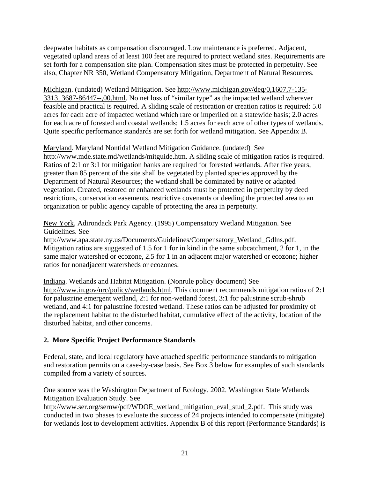deepwater habitats as compensation discouraged. Low maintenance is preferred. Adjacent, vegetated upland areas of at least 100 feet are required to protect wetland sites. Requirements are set forth for a compensation site plan. Compensation sites must be protected in perpetuity. See also, Chapter NR 350, Wetland Compensatory Mitigation, Department of Natural Resources.

Michigan. (undated) Wetland Mitigation. See <http://www.michigan.gov/deq/0,1607,7-135-> 3313\_3687-86447--,00.html. No net loss of "similar type" as the impacted wetland wherever feasible and practical is required. A sliding scale of restoration or creation ratios is required: 5.0 acres for each acre of impacted wetland which rare or imperiled on a statewide basis; 2.0 acres for each acre of forested and coastal wetlands; 1.5 acres for each acre of other types of wetlands. Quite specific performance standards are set forth for wetland mitigation. See Appendix B.

Maryland. Maryland Nontidal Wetland Mitigation Guidance. (undated) See [http://www.mde.state.md/wetlands/mitguide.htm.](http://www.mde.state.md/wetlands/mitguide.htm) A sliding scale of mitigation ratios is required. Ratios of 2:1 or 3:1 for mitigation banks are required for forested wetlands. After five years, greater than 85 percent of the site shall be vegetated by planted species approved by the Department of Natural Resources; the wetland shall be dominated by native or adapted vegetation. Created, restored or enhanced wetlands must be protected in perpetuity by deed restrictions, conservation easements, restrictive covenants or deeding the protected area to an organization or public agency capable of protecting the area in perpetuity.

New York, Adirondack Park Agency. (1995) Compensatory Wetland Mitigation. See Guidelines. See

[http://www.apa.state.ny.us/Documents/Guidelines/Compensatory\\_Wetland\\_Gdlns.pdf.](http://www.apa.state.ny.us/Documents/Guidelines/Compensatory_Wetland_Gdlns.pdf)  Mitigation ratios are suggested of 1.5 for 1 for in kind in the same subcatchment, 2 for 1, in the same major watershed or ecozone, 2.5 for 1 in an adjacent major watershed or ecozone; higher ratios for nonadjacent watersheds or ecozones.

Indiana. Wetlands and Habitat Mitigation. (Nonrule policy document) See [http://www.in.gov/nrc/policy/wetlands.html.](http://www.in.gov/nrc/policy/wetlands.html) This document recommends mitigation ratios of 2:1 for palustrine emergent wetland, 2:1 for non-wetland forest, 3:1 for palustrine scrub-shrub wetland, and 4:1 for palustrine forested wetland. These ratios can be adjusted for proximity of the replacement habitat to the disturbed habitat, cumulative effect of the activity, location of the disturbed habitat, and other concerns.

## **2. More Specific Project Performance Standards**

Federal, state, and local regulatory have attached specific performance standards to mitigation and restoration permits on a case-by-case basis. See Box 3 below for examples of such standards compiled from a variety of sources.

One source was the Washington Department of Ecology. 2002. Washington State Wetlands Mitigation Evaluation Study. See

http://www.ser.org/sernw/pdf/WDOE wetland mitigation eval stud 2.pdf. This study was conducted in two phases to evaluate the success of 24 projects intended to compensate (mitigate) for wetlands lost to development activities. Appendix B of this report (Performance Standards) is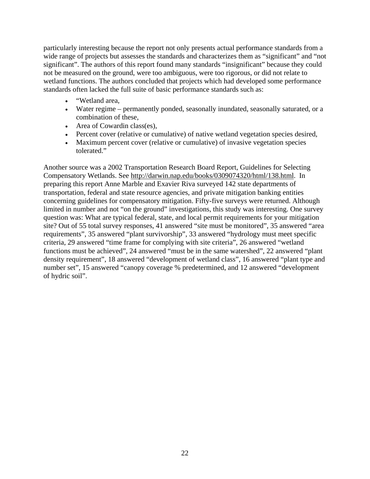particularly interesting because the report not only presents actual performance standards from a wide range of projects but assesses the standards and characterizes them as "significant" and "not significant". The authors of this report found many standards "insignificant" because they could not be measured on the ground, were too ambiguous, were too rigorous, or did not relate to wetland functions. The authors concluded that projects which had developed some performance standards often lacked the full suite of basic performance standards such as:

- "Wetland area,
- Water regime permanently ponded, seasonally inundated, seasonally saturated, or a combination of these,
- Area of Cowardin class(es),
- Percent cover (relative or cumulative) of native wetland vegetation species desired,
- Maximum percent cover (relative or cumulative) of invasive vegetation species tolerated."

Another source was a 2002 Transportation Research Board Report, Guidelines for Selecting Compensatory Wetlands. See [http://darwin.nap.edu/books/0309074320/html/138.html.](http://darwin.nap.edu/books/0309074320/html/138.html) In preparing this report Anne Marble and Exavier Riva surveyed 142 state departments of transportation, federal and state resource agencies, and private mitigation banking entities concerning guidelines for compensatory mitigation. Fifty-five surveys were returned. Although limited in number and not "on the ground" investigations, this study was interesting. One survey question was: What are typical federal, state, and local permit requirements for your mitigation site? Out of 55 total survey responses, 41 answered "site must be monitored", 35 answered "area requirements", 35 answered "plant survivorship", 33 answered "hydrology must meet specific criteria, 29 answered "time frame for complying with site criteria", 26 answered "wetland functions must be achieved", 24 answered "must be in the same watershed", 22 answered "plant density requirement", 18 answered "development of wetland class", 16 answered "plant type and number set", 15 answered "canopy coverage % predetermined, and 12 answered "development of hydric soil".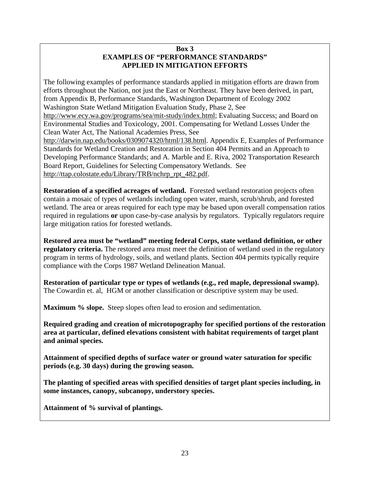#### **Box 3 EXAMPLES OF "PERFORMANCE STANDARDS" APPLIED IN MITIGATION EFFORTS**

The following examples of performance standards applied in mitigation efforts are drawn from efforts throughout the Nation, not just the East or Northeast. They have been derived, in part, from Appendix B, Performance Standards, Washington Department of Ecology 2002 Washington State Wetland Mitigation Evaluation Study, Phase 2, See [http://www.ecy.wa.gov/programs/sea/mit-study/index.html;](http://www.ecy.wa.gov/programs/sea/mit-study/index.html) Evaluating Success; and Board on Environmental Studies and Toxicology, 2001. Compensating for Wetland Losses Under the Clean Water Act, The National Academies Press, See [http://darwin.nap.edu/books/0309074320/html/138.html.](http://darwin.nap.edu/books/0309074320/html/138.html) Appendix E, Examples of Performance Standards for Wetland Creation and Restoration in Section 404 Permits and an Approach to Developing Performance Standards; and A. Marble and E. Riva, 2002 Transportation Research Board Report, Guidelines for Selecting Compensatory Wetlands. See [http://ttap.colostate.edu/Library/TRB/nchrp\\_rpt\\_482.pdf.](http://ttap.colostate.edu/Library/TRB/nchrp_rpt_482.pdf)

**Restoration of a specified acreages of wetland.** Forested wetland restoration projects often contain a mosaic of types of wetlands including open water, marsh, scrub/shrub, and forested wetland. The area or areas required for each type may be based upon overall compensation ratios required in regulations **or** upon case-by-case analysis by regulators. Typically regulators require large mitigation ratios for forested wetlands.

**Restored area must be "wetland" meeting federal Corps, state wetland definition, or other regulatory criteria.** The restored area must meet the definition of wetland used in the regulatory program in terms of hydrology, soils, and wetland plants. Section 404 permits typically require compliance with the Corps 1987 Wetland Delineation Manual.

**Restoration of particular type or types of wetlands (e.g., red maple, depressional swamp).**  The Cowardin et. al, HGM or another classification or descriptive system may be used.

**Maximum % slope.** Steep slopes often lead to erosion and sedimentation.

**Required grading and creation of microtopography for specified portions of the restoration area at particular, defined elevations consistent with habitat requirements of target plant and animal species.** 

**Attainment of specified depths of surface water or ground water saturation for specific periods (e.g. 30 days) during the growing season.** 

**The planting of specified areas with specified densities of target plant species including, in some instances, canopy, subcanopy, understory species.** 

**Attainment of % survival of plantings.**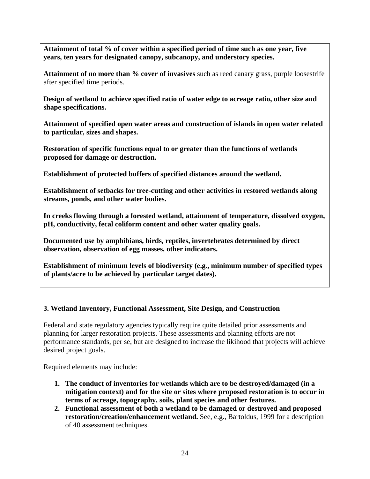**Attainment of total % of cover within a specified period of time such as one year, five years, ten years for designated canopy, subcanopy, and understory species.** 

**Attainment of no more than % cover of invasives** such as reed canary grass, purple loosestrife after specified time periods.

**Design of wetland to achieve specified ratio of water edge to acreage ratio, other size and shape specifications.** 

**Attainment of specified open water areas and construction of islands in open water related to particular, sizes and shapes.** 

**Restoration of specific functions equal to or greater than the functions of wetlands proposed for damage or destruction.** 

**Establishment of protected buffers of specified distances around the wetland.** 

**Establishment of setbacks for tree-cutting and other activities in restored wetlands along streams, ponds, and other water bodies.** 

**In creeks flowing through a forested wetland, attainment of temperature, dissolved oxygen, pH, conductivity, fecal coliform content and other water quality goals.** 

**Documented use by amphibians, birds, reptiles, invertebrates determined by direct observation, observation of egg masses, other indicators.** 

**Establishment of minimum levels of biodiversity (e.g., minimum number of specified types of plants/acre to be achieved by particular target dates).** 

## **3. Wetland Inventory, Functional Assessment, Site Design, and Construction**

Federal and state regulatory agencies typically require quite detailed prior assessments and planning for larger restoration projects. These assessments and planning efforts are not performance standards, per se, but are designed to increase the likihood that projects will achieve desired project goals.

Required elements may include:

- **1. The conduct of inventories for wetlands which are to be destroyed/damaged (in a mitigation context) and for the site or sites where proposed restoration is to occur in terms of acreage, topography, soils, plant species and other features.**
- **2. Functional assessment of both a wetland to be damaged or destroyed and proposed restoration/creation/enhancement wetland.** See, e.g., Bartoldus, 1999 for a description of 40 assessment techniques.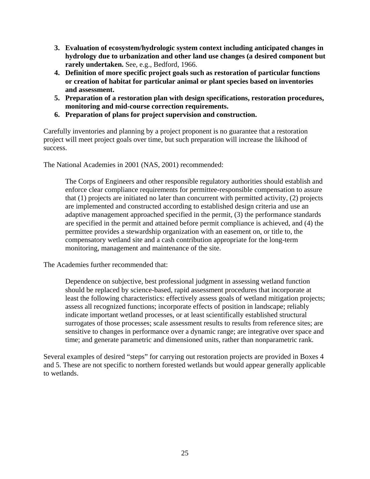- **3. Evaluation of ecosystem/hydrologic system context including anticipated changes in hydrology due to urbanization and other land use changes (a desired component but rarely undertaken.** See, e.g., Bedford, 1966.
- **4. Definition of more specific project goals such as restoration of particular functions or creation of habitat for particular animal or plant species based on inventories and assessment.**
- **5. Preparation of a restoration plan with design specifications, restoration procedures, monitoring and mid-course correction requirements.**
- **6. Preparation of plans for project supervision and construction.**

Carefully inventories and planning by a project proponent is no guarantee that a restoration project will meet project goals over time, but such preparation will increase the likihood of success.

The National Academies in 2001 (NAS, 2001) recommended:

The Corps of Engineers and other responsible regulatory authorities should establish and enforce clear compliance requirements for permittee-responsible compensation to assure that (1) projects are initiated no later than concurrent with permitted activity, (2) projects are implemented and constructed according to established design criteria and use an adaptive management approached specified in the permit, (3) the performance standards are specified in the permit and attained before permit compliance is achieved, and (4) the permittee provides a stewardship organization with an easement on, or title to, the compensatory wetland site and a cash contribution appropriate for the long-term monitoring, management and maintenance of the site.

The Academies further recommended that:

Dependence on subjective, best professional judgment in assessing wetland function should be replaced by science-based, rapid assessment procedures that incorporate at least the following characteristics: effectively assess goals of wetland mitigation projects; assess all recognized functions; incorporate effects of position in landscape; reliably indicate important wetland processes, or at least scientifically established structural surrogates of those processes; scale assessment results to results from reference sites; are sensitive to changes in performance over a dynamic range; are integrative over space and time; and generate parametric and dimensioned units, rather than nonparametric rank.

Several examples of desired "steps" for carrying out restoration projects are provided in Boxes 4 and 5. These are not specific to northern forested wetlands but would appear generally applicable to wetlands.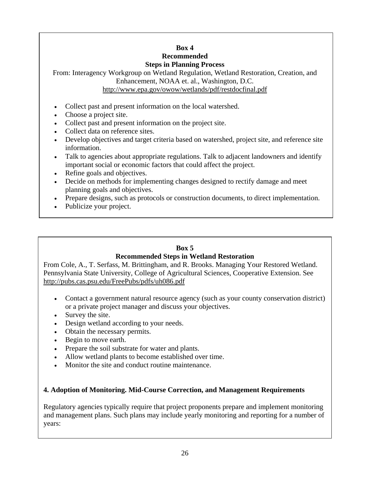#### **Box 4 Recommended**

## **Steps in Planning Process**

From: Interagency Workgroup on Wetland Regulation, Wetland Restoration, Creation, and Enhancement, NOAA et. al., Washington, D.C. <http://www.epa.gov/owow/wetlands/pdf/restdocfinal.pdf>

- Collect past and present information on the local watershed.
- Choose a project site.
- Collect past and present information on the project site.
- Collect data on reference sites.
- Develop objectives and target criteria based on watershed, project site, and reference site information.
- Talk to agencies about appropriate regulations. Talk to adjacent landowners and identify important social or economic factors that could affect the project.
- Refine goals and objectives.
- Decide on methods for implementing changes designed to rectify damage and meet planning goals and objectives.
- Prepare designs, such as protocols or construction documents, to direct implementation.
- Publicize your project.

# **Box 5**

## **Recommended Steps in Wetland Restoration**

From Cole, A., T. Serfass, M. Brittingham, and R. Brooks. Managing Your Restored Wetland. Pennsylvania State University, College of Agricultural Sciences, Cooperative Extension. See <http://pubs.cas.psu.edu/FreePubs/pdfs/uh086.pdf>

- Contact a government natural resource agency (such as your county conservation district) or a private project manager and discuss your objectives.
- Survey the site.
- Design wetland according to your needs.
- Obtain the necessary permits.
- Begin to move earth.
- Prepare the soil substrate for water and plants.
- Allow wetland plants to become established over time.
- Monitor the site and conduct routine maintenance.

## **4. Adoption of Monitoring. Mid-Course Correction, and Management Requirements**

Regulatory agencies typically require that project proponents prepare and implement monitoring and management plans. Such plans may include yearly monitoring and reporting for a number of years: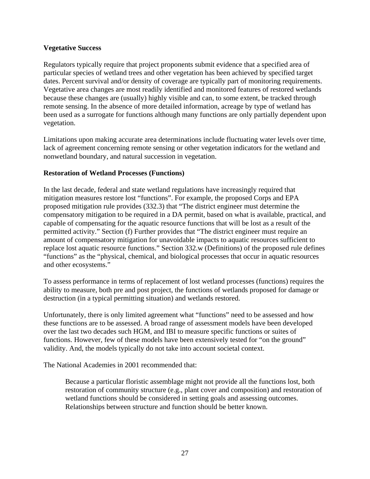#### **Vegetative Success**

Regulators typically require that project proponents submit evidence that a specified area of particular species of wetland trees and other vegetation has been achieved by specified target dates. Percent survival and/or density of coverage are typically part of monitoring requirements. Vegetative area changes are most readily identified and monitored features of restored wetlands because these changes are (usually) highly visible and can, to some extent, be tracked through remote sensing. In the absence of more detailed information, acreage by type of wetland has been used as a surrogate for functions although many functions are only partially dependent upon vegetation.

Limitations upon making accurate area determinations include fluctuating water levels over time, lack of agreement concerning remote sensing or other vegetation indicators for the wetland and nonwetland boundary, and natural succession in vegetation.

#### **Restoration of Wetland Processes (Functions)**

In the last decade, federal and state wetland regulations have increasingly required that mitigation measures restore lost "functions". For example, the proposed Corps and EPA proposed mitigation rule provides (332.3) that "The district engineer must determine the compensatory mitigation to be required in a DA permit, based on what is available, practical, and capable of compensating for the aquatic resource functions that will be lost as a result of the permitted activity." Section (f) Further provides that "The district engineer must require an amount of compensatory mitigation for unavoidable impacts to aquatic resources sufficient to replace lost aquatic resource functions." Section 332.w (Definitions) of the proposed rule defines "functions" as the "physical, chemical, and biological processes that occur in aquatic resources and other ecosystems."

To assess performance in terms of replacement of lost wetland processes (functions) requires the ability to measure, both pre and post project, the functions of wetlands proposed for damage or destruction (in a typical permitting situation) and wetlands restored.

Unfortunately, there is only limited agreement what "functions" need to be assessed and how these functions are to be assessed. A broad range of assessment models have been developed over the last two decades such HGM, and IBI to measure specific functions or suites of functions. However, few of these models have been extensively tested for "on the ground" validity. And, the models typically do not take into account societal context.

The National Academies in 2001 recommended that:

Because a particular floristic assemblage might not provide all the functions lost, both restoration of community structure (e.g., plant cover and composition) and restoration of wetland functions should be considered in setting goals and assessing outcomes. Relationships between structure and function should be better known.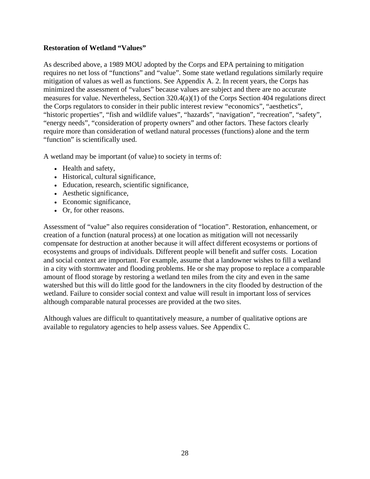#### **Restoration of Wetland "Values"**

As described above, a 1989 MOU adopted by the Corps and EPA pertaining to mitigation requires no net loss of "functions" and "value". Some state wetland regulations similarly require mitigation of values as well as functions. See Appendix A. 2. In recent years, the Corps has minimized the assessment of "values" because values are subject and there are no accurate measures for value. Nevertheless, Section 320.4(a)(1) of the Corps Section 404 regulations direct the Corps regulators to consider in their public interest review "economics", "aesthetics", "historic properties", "fish and wildlife values", "hazards", "navigation", "recreation", "safety", "energy needs", "consideration of property owners" and other factors. These factors clearly require more than consideration of wetland natural processes (functions) alone and the term "function" is scientifically used.

A wetland may be important (of value) to society in terms of:

- Health and safety,
- Historical, cultural significance,
- Education, research, scientific significance,
- Aesthetic significance,
- Economic significance,
- Or, for other reasons.

Assessment of "value" also requires consideration of "location". Restoration, enhancement, or creation of a function (natural process) at one location as mitigation will not necessarily compensate for destruction at another because it will affect different ecosystems or portions of ecosystems and groups of individuals. Different people will benefit and suffer costs. Location and social context are important. For example, assume that a landowner wishes to fill a wetland in a city with stormwater and flooding problems. He or she may propose to replace a comparable amount of flood storage by restoring a wetland ten miles from the city and even in the same watershed but this will do little good for the landowners in the city flooded by destruction of the wetland. Failure to consider social context and value will result in important loss of services although comparable natural processes are provided at the two sites.

Although values are difficult to quantitatively measure, a number of qualitative options are available to regulatory agencies to help assess values. See Appendix C.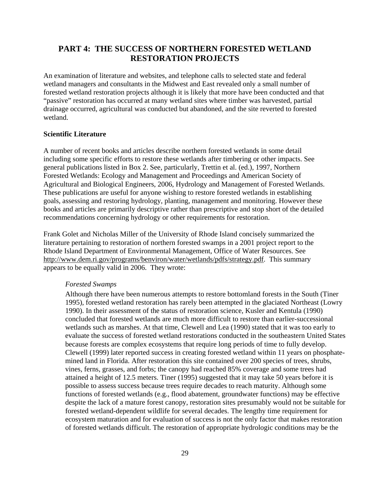# **PART 4: THE SUCCESS OF NORTHERN FORESTED WETLAND RESTORATION PROJECTS**

An examination of literature and websites, and telephone calls to selected state and federal wetland managers and consultants in the Midwest and East revealed only a small number of forested wetland restoration projects although it is likely that more have been conducted and that "passive" restoration has occurred at many wetland sites where timber was harvested, partial drainage occurred, agricultural was conducted but abandoned, and the site reverted to forested wetland.

#### **Scientific Literature**

A number of recent books and articles describe northern forested wetlands in some detail including some specific efforts to restore these wetlands after timbering or other impacts. See general publications listed in Box 2. See, particularly, Trettin et al. (ed.), 1997, Northern Forested Wetlands: Ecology and Management and Proceedings and American Society of Agricultural and Biological Engineers, 2006, Hydrology and Management of Forested Wetlands. These publications are useful for anyone wishing to restore forested wetlands in establishing goals, assessing and restoring hydrology, planting, management and monitoring. However these books and articles are primarily descriptive rather than prescriptive and stop short of the detailed recommendations concerning hydrology or other requirements for restoration.

Frank Golet and Nicholas Miller of the University of Rhode Island concisely summarized the literature pertaining to restoration of northern forested swamps in a 2001 project report to the Rhode Island Department of Environmental Management, Office of Water Resources. See [http://www.dem.ri.gov/programs/benviron/water/wetlands/pdfs/strategy.pdf.](http://www.dem.ri.gov/programs/benviron/water/wetlands/pdfs/strategy.pdf) This summary appears to be equally valid in 2006. They wrote:

#### *Forested Swamps*

Although there have been numerous attempts to restore bottomland forests in the South (Tiner 1995), forested wetland restoration has rarely been attempted in the glaciated Northeast (Lowry 1990). In their assessment of the status of restoration science, Kusler and Kentula (1990) concluded that forested wetlands are much more difficult to restore than earlier-successional wetlands such as marshes. At that time, Clewell and Lea (1990) stated that it was too early to evaluate the success of forested wetland restorations conducted in the southeastern United States because forests are complex ecosystems that require long periods of time to fully develop. Clewell (1999) later reported success in creating forested wetland within 11 years on phosphatemined land in Florida. After restoration this site contained over 200 species of trees, shrubs, vines, ferns, grasses, and forbs; the canopy had reached 85% coverage and some trees had attained a height of 12.5 meters. Tiner (1995) suggested that it may take 50 years before it is possible to assess success because trees require decades to reach maturity. Although some functions of forested wetlands (e.g., flood abatement, groundwater functions) may be effective despite the lack of a mature forest canopy, restoration sites presumably would not be suitable for forested wetland-dependent wildlife for several decades. The lengthy time requirement for ecosystem maturation and for evaluation of success is not the only factor that makes restoration of forested wetlands difficult. The restoration of appropriate hydrologic conditions may be the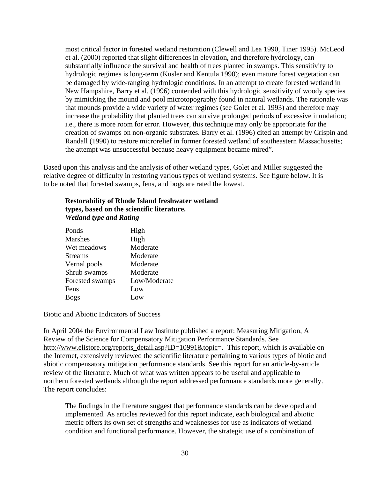most critical factor in forested wetland restoration (Clewell and Lea 1990, Tiner 1995). McLeod et al. (2000) reported that slight differences in elevation, and therefore hydrology, can substantially influence the survival and health of trees planted in swamps. This sensitivity to hydrologic regimes is long-term (Kusler and Kentula 1990); even mature forest vegetation can be damaged by wide-ranging hydrologic conditions. In an attempt to create forested wetland in New Hampshire, Barry et al. (1996) contended with this hydrologic sensitivity of woody species by mimicking the mound and pool microtopography found in natural wetlands. The rationale was that mounds provide a wide variety of water regimes (see Golet et al. 1993) and therefore may increase the probability that planted trees can survive prolonged periods of excessive inundation; i.e., there is more room for error. However, this technique may only be appropriate for the creation of swamps on non-organic substrates. Barry et al. (1996) cited an attempt by Crispin and Randall (1990) to restore microrelief in former forested wetland of southeastern Massachusetts; the attempt was unsuccessful because heavy equipment became mired".

Based upon this analysis and the analysis of other wetland types, Golet and Miller suggested the relative degree of difficulty in restoring various types of wetland systems. See figure below. It is to be noted that forested swamps, fens, and bogs are rated the lowest.

| <b>Restorability of Rhode Island freshwater wetland</b> |  |
|---------------------------------------------------------|--|
| types, based on the scientific literature.              |  |
| <b>Wetland type and Rating</b>                          |  |

| Ponds           | High         |
|-----------------|--------------|
| <b>Marshes</b>  | High         |
| Wet meadows     | Moderate     |
| <b>Streams</b>  | Moderate     |
| Vernal pools    | Moderate     |
| Shrub swamps    | Moderate     |
| Forested swamps | Low/Moderate |
| Fens            | Low          |
| <b>Bogs</b>     | Low.         |

Biotic and Abiotic Indicators of Success

In April 2004 the Environmental Law Institute published a report: Measuring Mitigation, A Review of the Science for Compensatory Mitigation Performance Standards. See [http://www.elistore.org/reports\\_detail.asp?ID=10991&topic=.](http://www.elistore.org/reports_detail.asp?ID=10991&topic=) This report, which is available on the Internet, extensively reviewed the scientific literature pertaining to various types of biotic and abiotic compensatory mitigation performance standards. See this report for an article-by-article review of the literature. Much of what was written appears to be useful and applicable to northern forested wetlands although the report addressed performance standards more generally. The report concludes:

The findings in the literature suggest that performance standards can be developed and implemented. As articles reviewed for this report indicate, each biological and abiotic metric offers its own set of strengths and weaknesses for use as indicators of wetland condition and functional performance. However, the strategic use of a combination of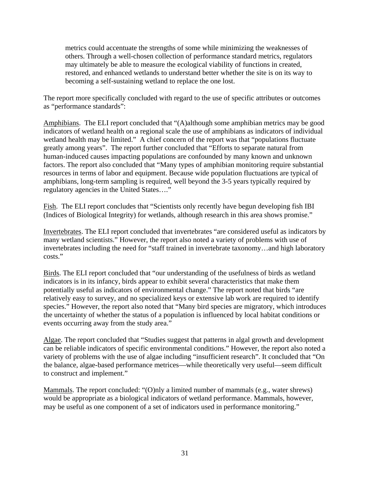metrics could accentuate the strengths of some while minimizing the weaknesses of others. Through a well-chosen collection of performance standard metrics, regulators may ultimately be able to measure the ecological viability of functions in created, restored, and enhanced wetlands to understand better whether the site is on its way to becoming a self-sustaining wetland to replace the one lost.

The report more specifically concluded with regard to the use of specific attributes or outcomes as "performance standards":

Amphibians. The ELI report concluded that "(A)although some amphibian metrics may be good indicators of wetland health on a regional scale the use of amphibians as indicators of individual wetland health may be limited." A chief concern of the report was that "populations fluctuate greatly among years". The report further concluded that "Efforts to separate natural from human-induced causes impacting populations are confounded by many known and unknown factors. The report also concluded that "Many types of amphibian monitoring require substantial resources in terms of labor and equipment. Because wide population fluctuations are typical of amphibians, long-term sampling is required, well beyond the 3-5 years typically required by regulatory agencies in the United States…."

Fish. The ELI report concludes that "Scientists only recently have begun developing fish IBI (Indices of Biological Integrity) for wetlands, although research in this area shows promise."

Invertebrates. The ELI report concluded that invertebrates "are considered useful as indicators by many wetland scientists." However, the report also noted a variety of problems with use of invertebrates including the need for "staff trained in invertebrate taxonomy…and high laboratory costs."

Birds. The ELI report concluded that "our understanding of the usefulness of birds as wetland indicators is in its infancy, birds appear to exhibit several characteristics that make them potentially useful as indicators of environmental change." The report noted that birds "are relatively easy to survey, and no specialized keys or extensive lab work are required to identify species." However, the report also noted that "Many bird species are migratory, which introduces the uncertainty of whether the status of a population is influenced by local habitat conditions or events occurring away from the study area."

Algae. The report concluded that "Studies suggest that patterns in algal growth and development can be reliable indicators of specific environmental conditions." However, the report also noted a variety of problems with the use of algae including "insufficient research". It concluded that "On the balance, algae-based performance metrices—while theoretically very useful—seem difficult to construct and implement."

Mammals. The report concluded: "(O)nly a limited number of mammals (e.g., water shrews) would be appropriate as a biological indicators of wetland performance. Mammals, however, may be useful as one component of a set of indicators used in performance monitoring."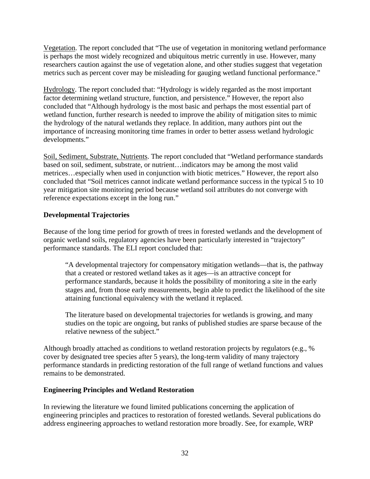Vegetation. The report concluded that "The use of vegetation in monitoring wetland performance is perhaps the most widely recognized and ubiquitous metric currently in use. However, many researchers caution against the use of vegetation alone, and other studies suggest that vegetation metrics such as percent cover may be misleading for gauging wetland functional performance."

Hydrology. The report concluded that: "Hydrology is widely regarded as the most important factor determining wetland structure, function, and persistence." However, the report also concluded that "Although hydrology is the most basic and perhaps the most essential part of wetland function, further research is needed to improve the ability of mitigation sites to mimic the hydrology of the natural wetlands they replace. In addition, many authors pint out the importance of increasing monitoring time frames in order to better assess wetland hydrologic developments."

Soil, Sediment, Substrate, Nutrients. The report concluded that "Wetland performance standards based on soil, sediment, substrate, or nutrient…indicators may be among the most valid metrices…especially when used in conjunction with biotic metrices." However, the report also concluded that "Soil metrices cannot indicate wetland performance success in the typical 5 to 10 year mitigation site monitoring period because wetland soil attributes do not converge with reference expectations except in the long run."

## **Developmental Trajectories**

Because of the long time period for growth of trees in forested wetlands and the development of organic wetland soils, regulatory agencies have been particularly interested in "trajectory" performance standards. The ELI report concluded that:

"A developmental trajectory for compensatory mitigation wetlands—that is, the pathway that a created or restored wetland takes as it ages—is an attractive concept for performance standards, because it holds the possibility of monitoring a site in the early stages and, from those early measurements, begin able to predict the likelihood of the site attaining functional equivalency with the wetland it replaced.

The literature based on developmental trajectories for wetlands is growing, and many studies on the topic are ongoing, but ranks of published studies are sparse because of the relative newness of the subject."

Although broadly attached as conditions to wetland restoration projects by regulators (e.g., % cover by designated tree species after 5 years), the long-term validity of many trajectory performance standards in predicting restoration of the full range of wetland functions and values remains to be demonstrated.

### **Engineering Principles and Wetland Restoration**

In reviewing the literature we found limited publications concerning the application of engineering principles and practices to restoration of forested wetlands. Several publications do address engineering approaches to wetland restoration more broadly. See, for example, WRP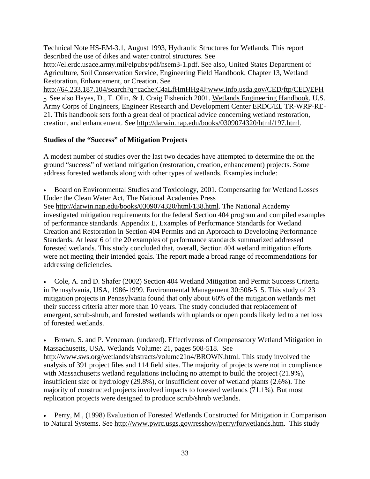Technical Note HS-EM-3.1, August 1993, Hydraulic Structures for Wetlands. This report described the use of dikes and water control structures. See

[http://el.erdc.usace.army.mil/elpubs/pdf/hsem3-1.pdf.](http://el.erdc.usace.army.mil/elpubs/pdf/hsem3-1.pdf) See also, United States Department of Agriculture, Soil Conservation Service, Engineering Field Handbook, Chapter 13, Wetland Restoration, Enhancement, or Creation. See

<http://64.233.187.104/search?q=cache:C4aLfHmHHg4J:www.info.usda.gov/CED/ftp/CED/EFH> -. See also Hayes, D., T. Olin, & J. Craig Fishenich 2001. Wetlands Engineering Handbook, U.S. Army Corps of Engineers, Engineer Research and Development Center ERDC/EL TR-WRP-RE-21. This handbook sets forth a great deal of practical advice concerning wetland restoration, creation, and enhancement. See [http://darwin.nap.edu/books/0309074320/html/197.html.](http://darwin.nap.edu/books/0309074320/html/197.html)

## **Studies of the "Success" of Mitigation Projects**

A modest number of studies over the last two decades have attempted to determine the on the ground "success" of wetland mitigation (restoration, creation, enhancement) projects. Some address forested wetlands along with other types of wetlands. Examples include:

• Board on Environmental Studies and Toxicology, 2001. Compensating for Wetland Losses Under the Clean Water Act, The National Academies Press

See [http://darwin.nap.edu/books/0309074320/html/138.html.](http://darwin.nap.edu/books/0309074320/html/138.html) The National Academy investigated mitigation requirements for the federal Section 404 program and compiled examples of performance standards. Appendix E, Examples of Performance Standards for Wetland Creation and Restoration in Section 404 Permits and an Approach to Developing Performance Standards. At least 6 of the 20 examples of performance standards summarized addressed forested wetlands. This study concluded that, overall, Section 404 wetland mitigation efforts were not meeting their intended goals. The report made a broad range of recommendations for addressing deficiencies.

• Cole, A. and D. Shafer (2002) Section 404 Wetland Mitigation and Permit Success Criteria in Pennsylvania, USA, 1986-1999. Environmental Management 30:508-515. This study of 23 mitigation projects in Pennsylvania found that only about 60% of the mitigation wetlands met their success criteria after more than 10 years. The study concluded that replacement of emergent, scrub-shrub, and forested wetlands with uplands or open ponds likely led to a net loss of forested wetlands.

• Brown, S. and P. Veneman. (undated). Effectivenss of Compensatory Wetland Mitigation in Massachusetts, USA. Wetlands Volume: 21, pages 508-518. See [http://www.sws.org/wetlands/abstracts/volume21n4/BROWN.html.](http://www.sws.org/wetlands/abstracts/volume21n4/BROWN.html) This study involved the analysis of 391 project files and 114 field sites. The majority of projects were not in compliance with Massachusetts wetland regulations including no attempt to build the project (21.9%), insufficient size or hydrology (29.8%), or insufficient cover of wetland plants (2.6%). The majority of constructed projects involved impacts to forested wetlands (71.1%). But most replication projects were designed to produce scrub/shrub wetlands.

• Perry, M., (1998) Evaluation of Forested Wetlands Constructed for Mitigation in Comparison to Natural Systems. See [http://www.pwrc.usgs.gov/resshow/perry/forwetlands.htm.](http://www.pwrc.usgs.gov/resshow/perry/forwetlands.htm) This study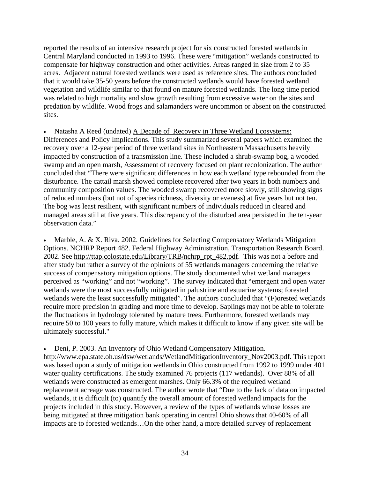reported the results of an intensive research project for six constructed forested wetlands in Central Maryland conducted in 1993 to 1996. These were "mitigation" wetlands constructed to compensate for highway construction and other activities. Areas ranged in size from 2 to 35 acres. Adjacent natural forested wetlands were used as reference sites. The authors concluded that it would take 35-50 years before the constructed wetlands would have forested wetland vegetation and wildlife similar to that found on mature forested wetlands. The long time period was related to high mortality and slow growth resulting from excessive water on the sites and predation by wildlife. Wood frogs and salamanders were uncommon or absent on the constructed sites.

Natasha A Reed (undated) A Decade of Recovery in Three Wetland Ecosystems: Differences and Policy Implications. This study summarized several papers which examined the recovery over a 12-year period of three wetland sites in Northeastern Massachusetts heavily impacted by construction of a transmission line. These included a shrub-swamp bog, a wooded swamp and an open marsh, Assessment of recovery focused on plant recolonization. The author concluded that "There were significant differences in how each wetland type rebounded from the disturbance. The cattail marsh showed complete recovered after two years in both numbers and community composition values. The wooded swamp recovered more slowly, still showing signs of reduced numbers (but not of species richness, diversity or eveness) at five years but not ten. The bog was least resilient, with significant numbers of individuals reduced in cleared and managed areas still at five years. This discrepancy of the disturbed area persisted in the ten-year observation data."

Marble, A. & X. Riva. 2002. Guidelines for Selecting Compensatory Wetlands Mitigation Options. NCHRP Report 482. Federal Highway Administration, Transportation Research Board. 2002. See [http://ttap.colostate.edu/Library/TRB/nchrp\\_rpt\\_482.pdf.](http://ttap.colostate.edu/Library/TRB/nchrp_rpt_482.pdf) This was not a before and after study but rather a survey of the opinions of 55 wetlands managers concerning the relative success of compensatory mitigation options. The study documented what wetland managers perceived as "working" and not "working". The survey indicated that "emergent and open water wetlands were the most successfully mitigated in palustrine and estuarine systems; forested wetlands were the least successfully mitigated". The authors concluded that "(F)orested wetlands require more precision in grading and more time to develop. Saplings may not be able to tolerate the fluctuations in hydrology tolerated by mature trees. Furthermore, forested wetlands may require 50 to 100 years to fully mature, which makes it difficult to know if any given site will be ultimately successful."

• Deni, P. 2003. An Inventory of Ohio Wetland Compensatory Mitigation. [http://www.epa.state.oh.us/dsw/wetlands/WetlandMitigationInventory\\_Nov2003.pdf.](http://www.epa.state.oh.us/dsw/wetlands/WetlandMitigationInventory_Nov2003.pdf) This report was based upon a study of mitigation wetlands in Ohio constructed from 1992 to 1999 under 401 water quality certifications. The study examined 76 projects (117 wetlands). Over 88% of all wetlands were constructed as emergent marshes. Only 66.3% of the required wetland replacement acreage was constructed. The author wrote that "Due to the lack of data on impacted wetlands, it is difficult (to) quantify the overall amount of forested wetland impacts for the projects included in this study. However, a review of the types of wetlands whose losses are being mitigated at three mitigation bank operating in central Ohio shows that 40-60% of all impacts are to forested wetlands…On the other hand, a more detailed survey of replacement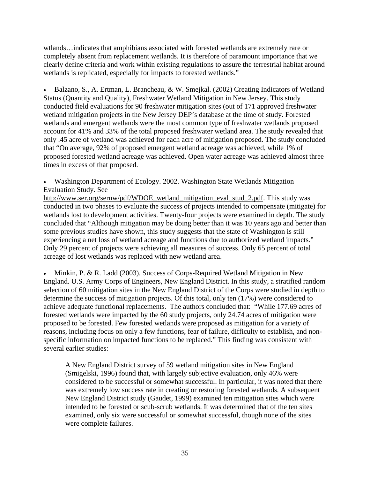wtlands…indicates that amphibians associated with forested wetlands are extremely rare or completely absent from replacement wetlands. It is therefore of paramount importance that we clearly define criteria and work within existing regulations to assure the terrestrial habitat around wetlands is replicated, especially for impacts to forested wetlands."

• Balzano, S., A. Ertman, L. Brancheau, & W. Smejkal. (2002) Creating Indicators of Wetland Status (Quantity and Quality), Freshwater Wetland Mitigation in New Jersey. This study conducted field evaluations for 90 freshwater mitigation sites (out of 171 approved freshwater wetland mitigation projects in the New Jersey DEP's database at the time of study. Forested wetlands and emergent wetlands were the most common type of freshwater wetlands proposed account for 41% and 33% of the total proposed freshwater wetland area. The study revealed that only .45 acre of wetland was achieved for each acre of mitigation proposed. The study concluded that "On average, 92% of proposed emergent wetland acreage was achieved, while 1% of proposed forested wetland acreage was achieved. Open water acreage was achieved almost three times in excess of that proposed.

• Washington Department of Ecology. 2002. Washington State Wetlands Mitigation Evaluation Study. See

[http://www.ser.org/sernw/pdf/WDOE\\_wetland\\_mitigation\\_eval\\_stud\\_2.pdf.](http://www.ser.org/sernw/pdf/WDOE_wetland_mitigation_eval_stud_2.pdf) This study was conducted in two phases to evaluate the success of projects intended to compensate (mitigate) for wetlands lost to development activities. Twenty-four projects were examined in depth. The study concluded that "Although mitigation may be doing better than it was 10 years ago and better than some previous studies have shown, this study suggests that the state of Washington is still experiencing a net loss of wetland acreage and functions due to authorized wetland impacts." Only 29 percent of projects were achieving all measures of success. Only 65 percent of total acreage of lost wetlands was replaced with new wetland area.

• Minkin, P. & R. Ladd (2003). Success of Corps-Required Wetland Mitigation in New England. U.S. Army Corps of Engineers, New England District. In this study, a stratified random selection of 60 mitigation sites in the New England District of the Corps were studied in depth to determine the success of mitigation projects. Of this total, only ten (17%) were considered to achieve adequate functional replacements. The authors concluded that: "While 177.69 acres of forested wetlands were impacted by the 60 study projects, only 24.74 acres of mitigation were proposed to be forested. Few forested wetlands were proposed as mitigation for a variety of reasons, including focus on only a few functions, fear of failure, difficulty to establish, and nonspecific information on impacted functions to be replaced." This finding was consistent with several earlier studies:

A New England District survey of 59 wetland mitigation sites in New England (Smigelski, 1996) found that, with largely subjective evaluation, only 46% were considered to be successful or somewhat successful. In particular, it was noted that there was extremely low success rate in creating or restoring forested wetlands. A subsequent New England District study (Gaudet, 1999) examined ten mitigation sites which were intended to be forested or scub-scrub wetlands. It was determined that of the ten sites examined, only six were successful or somewhat successful, though none of the sites were complete failures.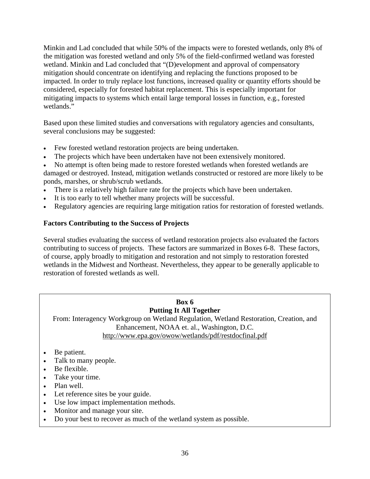Minkin and Lad concluded that while 50% of the impacts were to forested wetlands, only 8% of the mitigation was forested wetland and only 5% of the field-confirmed wetland was forested wetland. Minkin and Lad concluded that "(D)evelopment and approval of compensatory mitigation should concentrate on identifying and replacing the functions proposed to be impacted. In order to truly replace lost functions, increased quality or quantity efforts should be considered, especially for forested habitat replacement. This is especially important for mitigating impacts to systems which entail large temporal losses in function, e.g., forested wetlands."

Based upon these limited studies and conversations with regulatory agencies and consultants, several conclusions may be suggested:

- Few forested wetland restoration projects are being undertaken.
- The projects which have been undertaken have not been extensively monitored.

• No attempt is often being made to restore forested wetlands when forested wetlands are damaged or destroyed. Instead, mitigation wetlands constructed or restored are more likely to be ponds, marshes, or shrub/scrub wetlands.

- There is a relatively high failure rate for the projects which have been undertaken.
- It is too early to tell whether many projects will be successful.
- Regulatory agencies are requiring large mitigation ratios for restoration of forested wetlands.

## **Factors Contributing to the Success of Projects**

Several studies evaluating the success of wetland restoration projects also evaluated the factors contributing to success of projects. These factors are summarized in Boxes 6-8. These factors, of course, apply broadly to mitigation and restoration and not simply to restoration forested wetlands in the Midwest and Northeast. Nevertheless, they appear to be generally applicable to restoration of forested wetlands as well.

#### **Box 6 Putting It All Together**

From: Interagency Workgroup on Wetland Regulation, Wetland Restoration, Creation, and Enhancement, NOAA et. al., Washington, D.C. <http://www.epa.gov/owow/wetlands/pdf/restdocfinal.pdf>

- Be patient.
- Talk to many people.
- Be flexible.
- Take your time.
- Plan well.
- Let reference sites be your guide.
- Use low impact implementation methods.
- Monitor and manage your site.
- Do your best to recover as much of the wetland system as possible.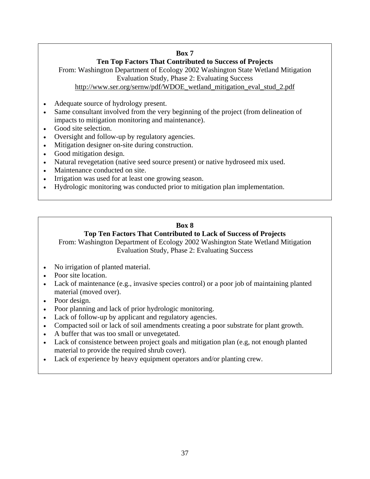### **Box 7**

## **Ten Top Factors That Contributed to Success of Projects**

From: Washington Department of Ecology 2002 Washington State Wetland Mitigation Evaluation Study, Phase 2: Evaluating Success

[http://www.ser.org/sernw/pdf/WDOE\\_wetland\\_mitigation\\_eval\\_stud\\_2.pdf](http://www.ser.org/sernw/pdf/WDOE_wetland_mitigation_eval_stud_2.pdf) 

- Adequate source of hydrology present.
- Same consultant involved from the very beginning of the project (from delineation of impacts to mitigation monitoring and maintenance).
- Good site selection.
- Oversight and follow-up by regulatory agencies.
- Mitigation designer on-site during construction.
- Good mitigation design.
- Natural revegetation (native seed source present) or native hydroseed mix used.
- Maintenance conducted on site.
- Irrigation was used for at least one growing season.
- Hydrologic monitoring was conducted prior to mitigation plan implementation.

# **Box 8**

## **Top Ten Factors That Contributed to Lack of Success of Projects**

From: Washington Department of Ecology 2002 Washington State Wetland Mitigation Evaluation Study, Phase 2: Evaluating Success

- No irrigation of planted material.
- Poor site location.
- Lack of maintenance (e.g., invasive species control) or a poor job of maintaining planted material (moved over).
- Poor design.
- Poor planning and lack of prior hydrologic monitoring.
- Lack of follow-up by applicant and regulatory agencies.
- Compacted soil or lack of soil amendments creating a poor substrate for plant growth.
- A buffer that was too small or unvegetated.
- Lack of consistence between project goals and mitigation plan (e.g, not enough planted material to provide the required shrub cover).
- Lack of experience by heavy equipment operators and/or planting crew.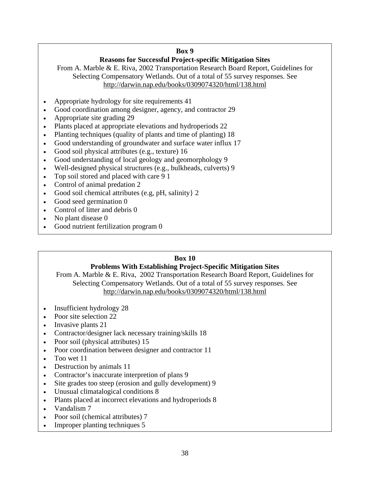### **Box 9**

## **Reasons for Successful Project-specific Mitigation Sites**

From A. Marble & E. Riva, 2002 Transportation Research Board Report, Guidelines for Selecting Compensatory Wetlands. Out of a total of 55 survey responses. See <http://darwin.nap.edu/books/0309074320/html/138.html>

- Appropriate hydrology for site requirements 41
- Good coordination among designer, agency, and contractor 29
- Appropriate site grading 29
- Plants placed at appropriate elevations and hydroperiods 22
- Planting techniques (quality of plants and time of planting) 18
- Good understanding of groundwater and surface water influx 17
- Good soil physical attributes (e.g., texture) 16
- Good understanding of local geology and geomorphology 9
- Well-designed physical structures (e.g., bulkheads, culverts) 9
- Top soil stored and placed with care 9 1
- Control of animal predation 2
- Good soil chemical attributes (e.g, pH, salinity} 2
- Good seed germination 0
- Control of litter and debris 0
- No plant disease 0
- Good nutrient fertilization program 0

# **Box 10**

## **Problems With Establishing Project-Specific Mitigation Sites**

From A. Marble & E. Riva, 2002 Transportation Research Board Report, Guidelines for Selecting Compensatory Wetlands. Out of a total of 55 survey responses. See <http://darwin.nap.edu/books/0309074320/html/138.html>

- Insufficient hydrology 28
- Poor site selection 22
- Invasive plants 21
- Contractor/designer lack necessary training/skills 18
- Poor soil (physical attributes) 15
- Poor coordination between designer and contractor 11
- Too wet 11
- Destruction by animals 11
- Contractor's inaccurate interpretion of plans 9
- Site grades too steep (erosion and gully development) 9
- Unusual climatalogical conditions 8
- Plants placed at incorrect elevations and hydroperiods 8
- Vandalism 7
- Poor soil (chemical attributes) 7
- Improper planting techniques 5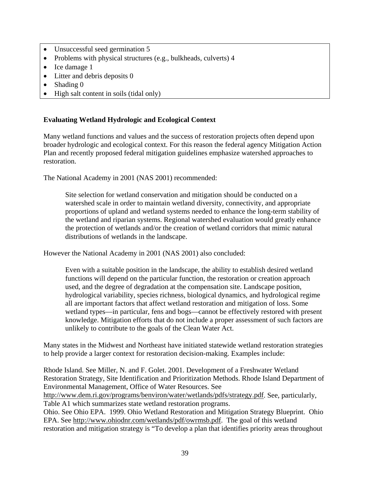- Unsuccessful seed germination 5
- Problems with physical structures (e.g., bulkheads, culverts) 4
- Ice damage 1
- Litter and debris deposits 0
- Shading 0
- High salt content in soils (tidal only)

## **Evaluating Wetland Hydrologic and Ecological Context**

Many wetland functions and values and the success of restoration projects often depend upon broader hydrologic and ecological context. For this reason the federal agency Mitigation Action Plan and recently proposed federal mitigation guidelines emphasize watershed approaches to restoration.

The National Academy in 2001 (NAS 2001) recommended:

Site selection for wetland conservation and mitigation should be conducted on a watershed scale in order to maintain wetland diversity, connectivity, and appropriate proportions of upland and wetland systems needed to enhance the long-term stability of the wetland and riparian systems. Regional watershed evaluation would greatly enhance the protection of wetlands and/or the creation of wetland corridors that mimic natural distributions of wetlands in the landscape.

However the National Academy in 2001 (NAS 2001) also concluded:

Even with a suitable position in the landscape, the ability to establish desired wetland functions will depend on the particular function, the restoration or creation approach used, and the degree of degradation at the compensation site. Landscape position, hydrological variability, species richness, biological dynamics, and hydrological regime all are important factors that affect wetland restoration and mitigation of loss. Some wetland types—in particular, fens and bogs—cannot be effectively restored with present knowledge. Mitigation efforts that do not include a proper assessment of such factors are unlikely to contribute to the goals of the Clean Water Act.

Many states in the Midwest and Northeast have initiated statewide wetland restoration strategies to help provide a larger context for restoration decision-making. Examples include:

Rhode Island. See Miller, N. and F. Golet. 2001. Development of a Freshwater Wetland Restoration Strategy, Site Identification and Prioritization Methods. Rhode Island Department of Environmental Management, Office of Water Resources. See

[http://www.dem.ri.gov/programs/benviron/water/wetlands/pdfs/strategy.pdf.](http://www.dem.ri.gov/programs/benviron/water/wetlands/pdfs/strategy.pdf) See, particularly, Table A1 which summarizes state wetland restoration programs.

Ohio. See Ohio EPA. 1999. Ohio Wetland Restoration and Mitigation Strategy Blueprint. Ohio EPA. See [http://www.ohiodnr.com/wetlands/pdf/owrmsb.pdf.](http://www.ohiodnr.com/wetlands/pdf/owrmsb.pdf) The goal of this wetland restoration and mitigation strategy is "To develop a plan that identifies priority areas throughout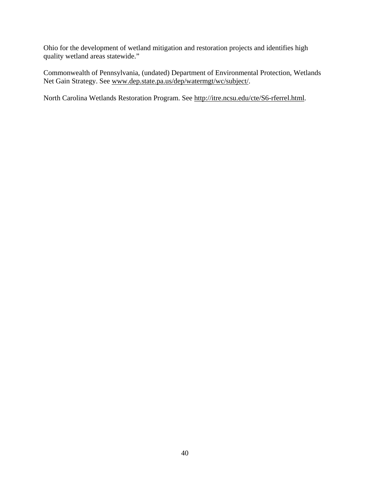Ohio for the development of wetland mitigation and restoration projects and identifies high quality wetland areas statewide."

Commonwealth of Pennsylvania, (undated) Department of Environmental Protection, Wetlands Net Gain Strategy. See www.dep.state.pa.us/dep/watermgt/wc/subject/.

North Carolina Wetlands Restoration Program. See [http://itre.ncsu.edu/cte/S6-rferrel.html.](http://itre.ncsu.edu/cte/S6-rferrel.html)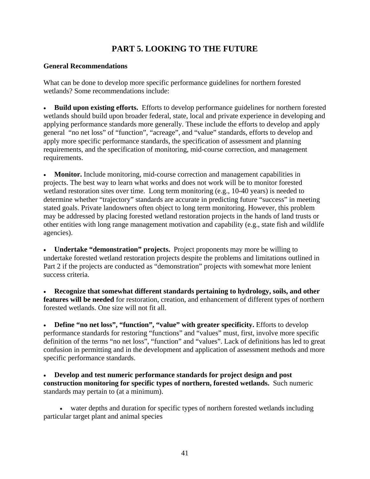# **PART 5. LOOKING TO THE FUTURE**

### **General Recommendations**

What can be done to develop more specific performance guidelines for northern forested wetlands? Some recommendations include:

• **Build upon existing efforts.** Efforts to develop performance guidelines for northern forested wetlands should build upon broader federal, state, local and private experience in developing and applying performance standards more generally. These include the efforts to develop and apply general "no net loss" of "function", "acreage", and "value" standards, efforts to develop and apply more specific performance standards, the specification of assessment and planning requirements, and the specification of monitoring, mid-course correction, and management requirements.

• **Monitor.** Include monitoring, mid-course correction and management capabilities in projects. The best way to learn what works and does not work will be to monitor forested wetland restoration sites over time. Long term monitoring (e.g., 10-40 years) is needed to determine whether "trajectory" standards are accurate in predicting future "success" in meeting stated goals. Private landowners often object to long term monitoring. However, this problem may be addressed by placing forested wetland restoration projects in the hands of land trusts or other entities with long range management motivation and capability (e.g., state fish and wildlife agencies).

• **Undertake "demonstration" projects.** Project proponents may more be willing to undertake forested wetland restoration projects despite the problems and limitations outlined in Part 2 if the projects are conducted as "demonstration" projects with somewhat more lenient success criteria.

• **Recognize that somewhat different standards pertaining to hydrology, soils, and other features will be needed** for restoration, creation, and enhancement of different types of northern forested wetlands. One size will not fit all.

• **Define "no net loss", "function", "value" with greater specificity.** Efforts to develop performance standards for restoring "functions" and "values" must, first, involve more specific definition of the terms "no net loss", "function" and "values". Lack of definitions has led to great confusion in permitting and in the development and application of assessment methods and more specific performance standards.

• **Develop and test numeric performance standards for project design and post construction monitoring for specific types of northern, forested wetlands.** Such numeric standards may pertain to (at a minimum).

• water depths and duration for specific types of northern forested wetlands including particular target plant and animal species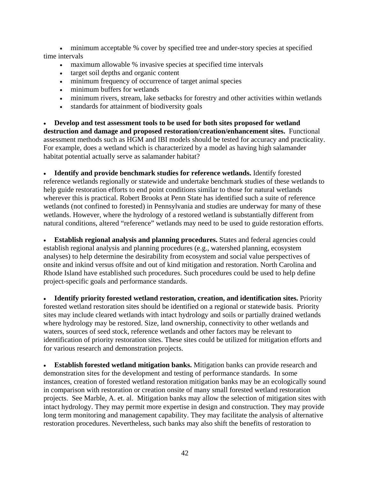• minimum acceptable % cover by specified tree and under-story species at specified time intervals

- maximum allowable % invasive species at specified time intervals
- target soil depths and organic content
- minimum frequency of occurrence of target animal species
- minimum buffers for wetlands
- minimum rivers, stream, lake setbacks for forestry and other activities within wetlands
- standards for attainment of biodiversity goals

• **Develop and test assessment tools to be used for both sites proposed for wetland destruction and damage and proposed restoration/creation/enhancement sites.** Functional assessment methods such as HGM and IBI models should be tested for accuracy and practicality. For example, does a wetland which is characterized by a model as having high salamander habitat potential actually serve as salamander habitat?

• **Identify and provide benchmark studies for reference wetlands.** Identify forested reference wetlands regionally or statewide and undertake benchmark studies of these wetlands to help guide restoration efforts to end point conditions similar to those for natural wetlands wherever this is practical. Robert Brooks at Penn State has identified such a suite of reference wetlands (not confined to forested) in Pennsylvania and studies are underway for many of these wetlands. However, where the hydrology of a restored wetland is substantially different from natural conditions, altered "reference" wetlands may need to be used to guide restoration efforts.

• **Establish regional analysis and planning procedures.** States and federal agencies could establish regional analysis and planning procedures (e.g., watershed planning, ecosystem analyses) to help determine the desirability from ecosystem and social value perspectives of onsite and inkind versus offsite and out of kind mitigation and restoration. North Carolina and Rhode Island have established such procedures. Such procedures could be used to help define project-specific goals and performance standards.

• **Identify priority forested wetland restoration, creation, and identification sites.** Priority forested wetland restoration sites should be identified on a regional or statewide basis. Priority sites may include cleared wetlands with intact hydrology and soils or partially drained wetlands where hydrology may be restored. Size, land ownership, connectivity to other wetlands and waters, sources of seed stock, reference wetlands and other factors may be relevant to identification of priority restoration sites. These sites could be utilized for mitigation efforts and for various research and demonstration projects.

• **Establish forested wetland mitigation banks.** Mitigation banks can provide research and demonstration sites for the development and testing of performance standards. In some instances, creation of forested wetland restoration mitigation banks may be an ecologically sound in comparison with restoration or creation onsite of many small forested wetland restoration projects. See Marble, A. et. al. Mitigation banks may allow the selection of mitigation sites with intact hydrology. They may permit more expertise in design and construction. They may provide long term monitoring and management capability. They may facilitate the analysis of alternative restoration procedures. Nevertheless, such banks may also shift the benefits of restoration to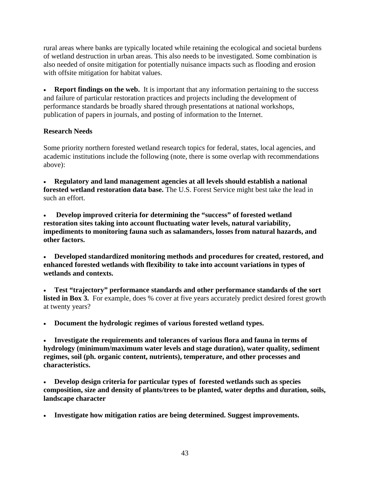rural areas where banks are typically located while retaining the ecological and societal burdens of wetland destruction in urban areas. This also needs to be investigated. Some combination is also needed of onsite mitigation for potentially nuisance impacts such as flooding and erosion with offsite mitigation for habitat values.

• **Report findings on the web.** It is important that any information pertaining to the success and failure of particular restoration practices and projects including the development of performance standards be broadly shared through presentations at national workshops, publication of papers in journals, and posting of information to the Internet.

### **Research Needs**

Some priority northern forested wetland research topics for federal, states, local agencies, and academic institutions include the following (note, there is some overlap with recommendations above):

• **Regulatory and land management agencies at all levels should establish a national forested wetland restoration data base.** The U.S. Forest Service might best take the lead in such an effort.

• **Develop improved criteria for determining the "success" of forested wetland restoration sites taking into account fluctuating water levels, natural variability, impediments to monitoring fauna such as salamanders, losses from natural hazards, and other factors.** 

• **Developed standardized monitoring methods and procedures for created, restored, and enhanced forested wetlands with flexibility to take into account variations in types of wetlands and contexts.** 

• **Test "trajectory" performance standards and other performance standards of the sort**  listed in Box 3. For example, does % cover at five years accurately predict desired forest growth at twenty years?

• **Document the hydrologic regimes of various forested wetland types.** 

• **Investigate the requirements and tolerances of various flora and fauna in terms of hydrology (minimum/maximum water levels and stage duration), water quality, sediment regimes, soil (ph. organic content, nutrients), temperature, and other processes and characteristics.** 

• **Develop design criteria for particular types of forested wetlands such as species composition, size and density of plants/trees to be planted, water depths and duration, soils, landscape character** 

• **Investigate how mitigation ratios are being determined. Suggest improvements.**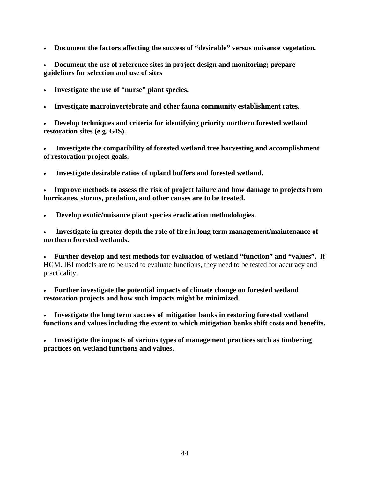• **Document the factors affecting the success of "desirable" versus nuisance vegetation.** 

• **Document the use of reference sites in project design and monitoring; prepare guidelines for selection and use of sites** 

- **Investigate the use of "nurse" plant species.**
- **Investigate macroinvertebrate and other fauna community establishment rates.**

• **Develop techniques and criteria for identifying priority northern forested wetland restoration sites (e.g. GIS).** 

• **Investigate the compatibility of forested wetland tree harvesting and accomplishment of restoration project goals.** 

• **Investigate desirable ratios of upland buffers and forested wetland.** 

• **Improve methods to assess the risk of project failure and how damage to projects from hurricanes, storms, predation, and other causes are to be treated.** 

• **Develop exotic/nuisance plant species eradication methodologies.** 

• **Investigate in greater depth the role of fire in long term management/maintenance of northern forested wetlands.** 

• **Further develop and test methods for evaluation of wetland "function" and "values".** If HGM. IBI models are to be used to evaluate functions, they need to be tested for accuracy and practicality.

• **Further investigate the potential impacts of climate change on forested wetland restoration projects and how such impacts might be minimized.** 

• **Investigate the long term success of mitigation banks in restoring forested wetland functions and values including the extent to which mitigation banks shift costs and benefits.** 

• **Investigate the impacts of various types of management practices such as timbering practices on wetland functions and values.**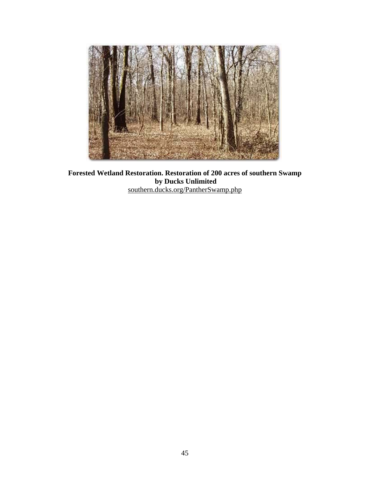

**Forested Wetland Restoration. Restoration of 200 acres of southern Swamp by Ducks Unlimited**  southern.ducks.org/PantherSwamp.php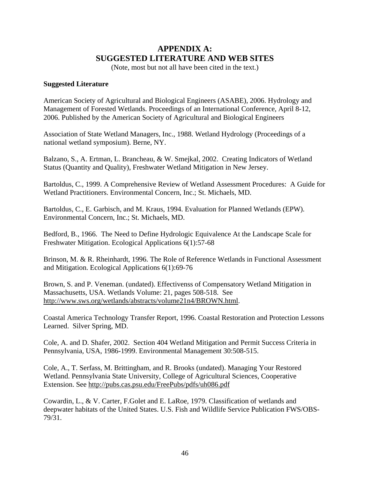# **APPENDIX A: SUGGESTED LITERATURE AND WEB SITES**

(Note, most but not all have been cited in the text.)

#### **Suggested Literature**

American Society of Agricultural and Biological Engineers (ASABE), 2006. Hydrology and Management of Forested Wetlands. Proceedings of an International Conference, April 8-12, 2006. Published by the American Society of Agricultural and Biological Engineers

Association of State Wetland Managers, Inc., 1988. Wetland Hydrology (Proceedings of a national wetland symposium). Berne, NY.

Balzano, S., A. Ertman, L. Brancheau, & W. Smejkal, 2002. Creating Indicators of Wetland Status (Quantity and Quality), Freshwater Wetland Mitigation in New Jersey.

Bartoldus, C., 1999. A Comprehensive Review of Wetland Assessment Procedures: A Guide for Wetland Practitioners. Environmental Concern, Inc.; St. Michaels, MD.

Bartoldus, C., E. Garbisch, and M. Kraus, 1994. Evaluation for Planned Wetlands (EPW). Environmental Concern, Inc.; St. Michaels, MD.

Bedford, B., 1966. The Need to Define Hydrologic Equivalence At the Landscape Scale for Freshwater Mitigation. Ecological Applications 6(1):57-68

Brinson, M. & R. Rheinhardt, 1996. The Role of Reference Wetlands in Functional Assessment and Mitigation. Ecological Applications 6(1):69-76

Brown, S. and P. Veneman. (undated). Effectivenss of Compensatory Wetland Mitigation in Massachusetts, USA. Wetlands Volume: 21, pages 508-518. See [http://www.sws.org/wetlands/abstracts/volume21n4/BROWN.html.](http://www.sws.org/wetlands/abstracts/volume21n4/BROWN.html)

Coastal America Technology Transfer Report, 1996. Coastal Restoration and Protection Lessons Learned. Silver Spring, MD.

Cole, A. and D. Shafer, 2002. Section 404 Wetland Mitigation and Permit Success Criteria in Pennsylvania, USA, 1986-1999. Environmental Management 30:508-515.

Cole, A., T. Serfass, M. Brittingham, and R. Brooks (undated). Managing Your Restored Wetland. Pennsylvania State University, College of Agricultural Sciences, Cooperative Extension. See<http://pubs.cas.psu.edu/FreePubs/pdfs/uh086.pdf>

Cowardin, L., & V. Carter, F.Golet and E. LaRoe, 1979. Classification of wetlands and deepwater habitats of the United States. U.S. Fish and Wildlife Service Publication FWS/OBS-79/31.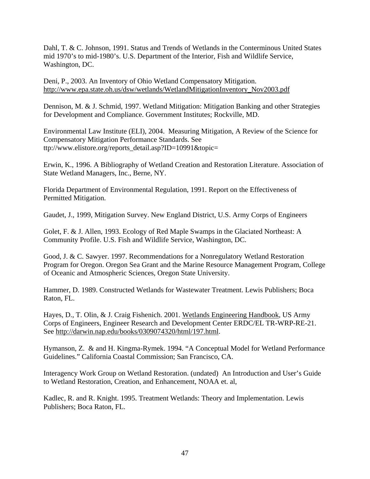Dahl, T. & C. Johnson, 1991. Status and Trends of Wetlands in the Conterminous United States mid 1970's to mid-1980's. U.S. Department of the Interior, Fish and Wildlife Service, Washington, DC.

Deni, P., 2003. An Inventory of Ohio Wetland Compensatory Mitigation. [http://www.epa.state.oh.us/dsw/wetlands/WetlandMitigationInventory\\_Nov2003.pdf](http://www.epa.state.oh.us/dsw/wetlands/WetlandMitigationInventory_Nov2003.pdf) 

Dennison, M. & J. Schmid, 1997. Wetland Mitigation: Mitigation Banking and other Strategies for Development and Compliance. Government Institutes; Rockville, MD.

Environmental Law Institute (ELI), 2004. Measuring Mitigation, A Review of the Science for Compensatory Mitigation Performance Standards. See [ttp://www.elistore.org/reports\\_detail.asp?ID=10991&topic=](ttp://www.elistore.org/reports_detail.asp?ID=10991&topic=)

Erwin, K., 1996. A Bibliography of Wetland Creation and Restoration Literature. Association of State Wetland Managers, Inc., Berne, NY.

Florida Department of Environmental Regulation, 1991. Report on the Effectiveness of Permitted Mitigation.

Gaudet, J., 1999, Mitigation Survey. New England District, U.S. Army Corps of Engineers

Golet, F. & J. Allen, 1993. Ecology of Red Maple Swamps in the Glaciated Northeast: A Community Profile. U.S. Fish and Wildlife Service, Washington, DC.

Good, J. & C. Sawyer. 1997. Recommendations for a Nonregulatory Wetland Restoration Program for Oregon. Oregon Sea Grant and the Marine Resource Management Program, College of Oceanic and Atmospheric Sciences, Oregon State University.

Hammer, D. 1989. Constructed Wetlands for Wastewater Treatment. Lewis Publishers; Boca Raton, FL.

Hayes, D., T. Olin, & J. Craig Fishenich. 2001. Wetlands Engineering Handbook, US Army Corps of Engineers, Engineer Research and Development Center ERDC/EL TR-WRP-RE-21. See [http://darwin.nap.edu/books/0309074320/html/197.html.](http://darwin.nap.edu/books/0309074320/html/197.html) 

Hymanson, Z. & and H. Kingma-Rymek. 1994. "A Conceptual Model for Wetland Performance Guidelines." California Coastal Commission; San Francisco, CA.

Interagency Work Group on Wetland Restoration. (undated) An Introduction and User's Guide to Wetland Restoration, Creation, and Enhancement, NOAA et. al,

Kadlec, R. and R. Knight. 1995. Treatment Wetlands: Theory and Implementation. Lewis Publishers; Boca Raton, FL.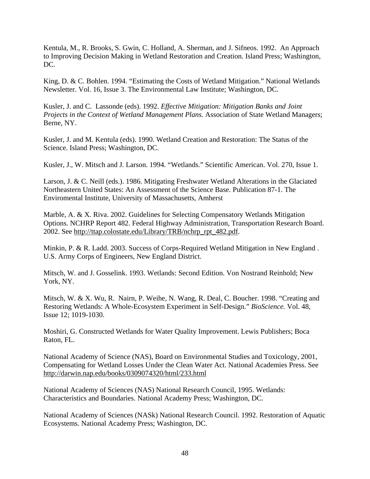Kentula, M., R. Brooks, S. Gwin, C. Holland, A. Sherman, and J. Sifneos. 1992. An Approach to Improving Decision Making in Wetland Restoration and Creation. Island Press; Washington, DC.

King, D. & C. Bohlen. 1994. "Estimating the Costs of Wetland Mitigation." National Wetlands Newsletter. Vol. 16, Issue 3. The Environmental Law Institute; Washington, DC.

Kusler, J. and C. Lassonde (eds). 1992. *Effective Mitigation: Mitigation Banks and Joint Projects in the Context of Wetland Management Plans*. Association of State Wetland Managers; Berne, NY.

Kusler, J. and M. Kentula (eds). 1990. Wetland Creation and Restoration: The Status of the Science. Island Press; Washington, DC.

Kusler, J., W. Mitsch and J. Larson. 1994. "Wetlands." Scientific American. Vol. 270, Issue 1.

Larson, J. & C. Neill (eds.). 1986. Mitigating Freshwater Wetland Alterations in the Glaciated Northeastern United States: An Assessment of the Science Base. Publication 87-1. The Enviromental Institute, University of Massachusetts, Amherst

Marble, A. & X. Riva. 2002. Guidelines for Selecting Compensatory Wetlands Mitigation Options. NCHRP Report 482. Federal Highway Administration, Transportation Research Board. 2002. See [http://ttap.colostate.edu/Library/TRB/nchrp\\_rpt\\_482.pdf.](http://ttap.colostate.edu/Library/TRB/nchrp_rpt_482.pdf) 

Minkin, P. & R. Ladd. 2003. Success of Corps-Required Wetland Mitigation in New England . U.S. Army Corps of Engineers, New England District.

Mitsch, W. and J. Gosselink. 1993. Wetlands: Second Edition. Von Nostrand Reinhold; New York, NY.

Mitsch, W. & X. Wu, R. Nairn, P. Weihe, N. Wang, R. Deal, C. Boucher. 1998. "Creating and Restoring Wetlands: A Whole-Ecosystem Experiment in Self-Design." *BioScience.* Vol. 48, Issue 12; 1019-1030.

Moshiri, G. Constructed Wetlands for Water Quality Improvement. Lewis Publishers; Boca Raton, FL.

National Academy of Science (NAS), Board on Environmental Studies and Toxicology, 2001, Compensating for Wetland Losses Under the Clean Water Act. National Academies Press. See <http://darwin.nap.edu/books/0309074320/html/233.html>

National Academy of Sciences (NAS) National Research Council, 1995. Wetlands: Characteristics and Boundaries. National Academy Press; Washington, DC.

National Academy of Sciences (NASk) National Research Council. 1992. Restoration of Aquatic Ecosystems. National Academy Press; Washington, DC.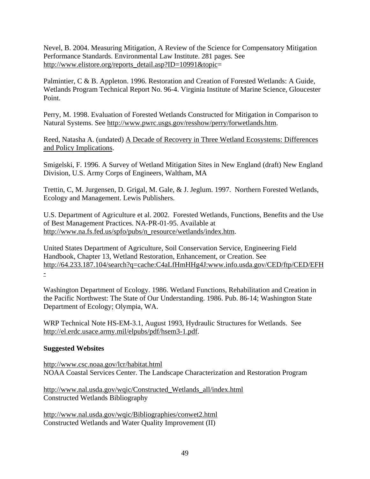Nevel, B. 2004. Measuring Mitigation, A Review of the Science for Compensatory Mitigation Performance Standards. Environmental Law Institute. 281 pages. See [http://www.elistore.org/reports\\_detail.asp?ID=10991&topic=](http://www.elistore.org/reports_detail.asp?ID=10991&topic=)

Palmintier, C & B. Appleton. 1996. Restoration and Creation of Forested Wetlands: A Guide, Wetlands Program Technical Report No. 96-4. Virginia Institute of Marine Science, Gloucester Point.

Perry, M. 1998. Evaluation of Forested Wetlands Constructed for Mitigation in Comparison to Natural Systems. See [http://www.pwrc.usgs.gov/resshow/perry/forwetlands.htm.](http://www.pwrc.usgs.gov/resshow/perry/forwetlands.htm)

Reed, Natasha A. (undated) A Decade of Recovery in Three Wetland Ecosystems: Differences and Policy Implications.

Smigelski, F. 1996. A Survey of Wetland Mitigation Sites in New England (draft) New England Division, U.S. Army Corps of Engineers, Waltham, MA

Trettin, C, M. Jurgensen, D. Grigal, M. Gale, & J. Jeglum. 1997. Northern Forested Wetlands, Ecology and Management. Lewis Publishers.

U.S. Department of Agriculture et al. 2002. Forested Wetlands, Functions, Benefits and the Use of Best Management Practices. NA-PR-01-95. Available at [http://www.na.fs.fed.us/spfo/pubs/n\\_resource/wetlands/index.htm.](http://www.na.fs.fed.us/spfo/pubs/n_resource/wetlands/index.htm)

United States Department of Agriculture, Soil Conservation Service, Engineering Field Handbook, Chapter 13, Wetland Restoration, Enhancement, or Creation. See <http://64.233.187.104/search?q=cache:C4aLfHmHHg4J:www.info.usda.gov/CED/ftp/CED/EFH> -

Washington Department of Ecology. 1986. Wetland Functions, Rehabilitation and Creation in the Pacific Northwest: The State of Our Understanding. 1986. Pub. 86-14; Washington State Department of Ecology; Olympia, WA.

WRP Technical Note HS-EM-3.1, August 1993, Hydraulic Structures for Wetlands. See [http://el.erdc.usace.army.mil/elpubs/pdf/hsem3-1.pdf.](http://el.erdc.usace.army.mil/elpubs/pdf/hsem3-1.pdf) 

### **Suggested Websites**

<http://www.csc.noaa.gov/lcr/habitat.html> NOAA Coastal Services Center. The Landscape Characterization and Restoration Program

[http://www.nal.usda.gov/wqic/Constructed\\_Wetlands\\_all/index.html](http://www.nal.usda.gov/wqic/Constructed_Wetlands_all/index.html)  Constructed Wetlands Bibliography

<http://www.nal.usda.gov/wqic/Bibliographies/conwet2.html> Constructed Wetlands and Water Quality Improvement (II)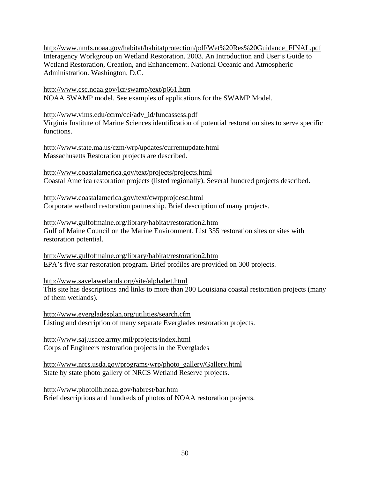[http://www.nmfs.noaa.gov/habitat/habitatprotection/pdf/Wet%20Res%20Guidance\\_FINAL.pdf](http://www.nmfs.noaa.gov/habitat/habitatprotection/pdf/Wet%20Res%20Guidance_FINAL.pdf)  Interagency Workgroup on Wetland Restoration. 2003. An Introduction and User's Guide to Wetland Restoration, Creation, and Enhancement. National Oceanic and Atmospheric Administration. Washington, D.C.

<http://www.csc.noaa.gov/lcr/swamp/text/p661.htm> NOAA SWAMP model. See examples of applications for the SWAMP Model.

[http://www.vims.edu/ccrm/cci/adv\\_id/funcassess.pdf](http://www.vims.edu/ccrm/cci/adv_id/funcassess.pdf) 

Virginia Institute of Marine Sciences identification of potential restoration sites to serve specific functions.

<http://www.state.ma.us/czm/wrp/updates/currentupdate.html> Massachusetts Restoration projects are described.

<http://www.coastalamerica.gov/text/projects/projects.html> Coastal America restoration projects (listed regionally). Several hundred projects described.

<http://www.coastalamerica.gov/text/cwrpprojdesc.html> Corporate wetland restoration partnership. Brief description of many projects.

<http://www.gulfofmaine.org/library/habitat/restoration2.htm> Gulf of Maine Council on the Marine Environment. List 355 restoration sites or sites with restoration potential.

<http://www.gulfofmaine.org/library/habitat/restoration2.htm> EPA's five star restoration program. Brief profiles are provided on 300 projects.

<http://www.savelawetlands.org/site/alphabet.html> This site has descriptions and links to more than 200 Louisiana coastal restoration projects (many of them wetlands).

<http://www.evergladesplan.org/utilities/search.cfm> Listing and description of many separate Everglades restoration projects.

<http://www.saj.usace.army.mil/projects/index.html> Corps of Engineers restoration projects in the Everglades

[http://www.nrcs.usda.gov/programs/wrp/photo\\_gallery/Gallery.html](http://www.nrcs.usda.gov/programs/wrp/photo_gallery/Gallery.html)  State by state photo gallery of NRCS Wetland Reserve projects.

<http://www.photolib.noaa.gov/habrest/bar.htm> Brief descriptions and hundreds of photos of NOAA restoration projects.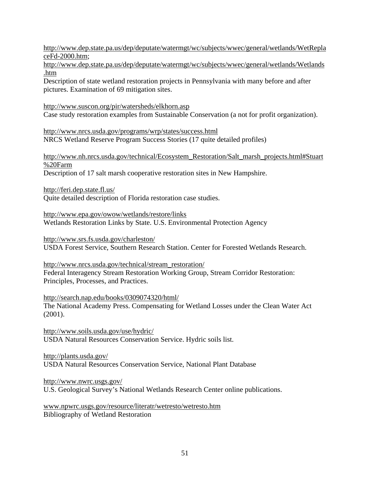<http://www.dep.state.pa.us/dep/deputate/watermgt/wc/subjects/wwec/general/wetlands/WetRepla> ceFd-2000.htm;

<http://www.dep.state.pa.us/dep/deputate/watermgt/wc/subjects/wwec/general/wetlands/Wetlands> .htm

Description of state wetland restoration projects in Pennsylvania with many before and after pictures. Examination of 69 mitigation sites.

#### <http://www.suscon.org/pir/watersheds/elkhorn.asp>

Case study restoration examples from Sustainable Conservation (a not for profit organization).

<http://www.nrcs.usda.gov/programs/wrp/states/success.html> NRCS Wetland Reserve Program Success Stories (17 quite detailed profiles)

## [http://www.nh.nrcs.usda.gov/technical/Ecosystem\\_Restoration/Salt\\_marsh\\_projects.html#Stuart](http://www.nh.nrcs.usda.gov/technical/Ecosystem_Restoration/Salt_marsh_projects.html#Stuart) %20Farm

Description of 17 salt marsh cooperative restoration sites in New Hampshire.

<http://feri.dep.state.fl.us/>

Quite detailed description of Florida restoration case studies.

<http://www.epa.gov/owow/wetlands/restore/links> Wetlands Restoration Links by State. U.S. Environmental Protection Agency

<http://www.srs.fs.usda.gov/charleston/> USDA Forest Service, Southern Research Station. Center for Forested Wetlands Research.

[http://www.nrcs.usda.gov/technical/stream\\_restoration/](http://www.nrcs.usda.gov/technical/stream_restoration/) Federal Interagency Stream Restoration Working Group, Stream Corridor Restoration: Principles, Processes, and Practices.

<http://search.nap.edu/books/0309074320/html/> The National Academy Press. Compensating for Wetland Losses under the Clean Water Act (2001).

<http://www.soils.usda.gov/use/hydric/> USDA Natural Resources Conservation Service. Hydric soils list.

<http://plants.usda.gov/> USDA Natural Resources Conservation Service, National Plant Database

<http://www.nwrc.usgs.gov/> U.S. Geological Survey's National Wetlands Research Center online publications.

www.npwrc.usgs.gov/resource/literatr/wetresto/wetresto.htm Bibliography of Wetland Restoration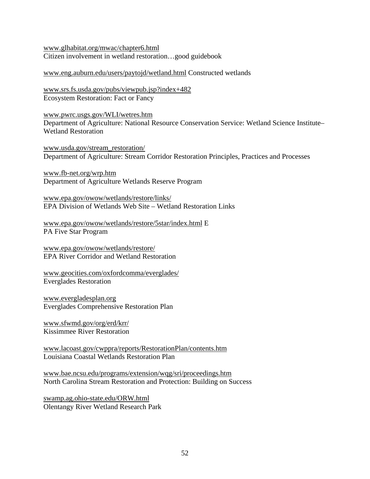www.glhabitat.org/mwac/chapter6.html Citizen involvement in wetland restoration…good guidebook

www.eng.auburn.edu/users/paytojd/wetland.html Constructed wetlands

www.srs.fs.usda.gov/pubs/viewpub.jsp?index+482 Ecosystem Restoration: Fact or Fancy

www.pwrc.usgs.gov/WLI/wetres.htm Department of Agriculture: National Resource Conservation Service: Wetland Science Institute– Wetland Restoration

www.usda.gov/stream\_restoration/ Department of Agriculture: Stream Corridor Restoration Principles, Practices and Processes

www.fb-net.org/wrp.htm Department of Agriculture Wetlands Reserve Program

www.epa.gov/owow/wetlands/restore/links/ EPA Division of Wetlands Web Site – Wetland Restoration Links

www.epa.gov/owow/wetlands/restore/5star/index.html E PA Five Star Program

www.epa.gov/owow/wetlands/restore/ EPA River Corridor and Wetland Restoration

www.geocities.com/oxfordcomma/everglades/ Everglades Restoration

www.evergladesplan.org Everglades Comprehensive Restoration Plan

www.sfwmd.gov/org/erd/krr/ Kissimmee River Restoration

www.lacoast.gov/cwppra/reports/RestorationPlan/contents.htm Louisiana Coastal Wetlands Restoration Plan

www.bae.ncsu.edu/programs/extension/wqg/sri/proceedings.htm North Carolina Stream Restoration and Protection: Building on Success

swamp.ag.ohio-state.edu/ORW.html Olentangy River Wetland Research Park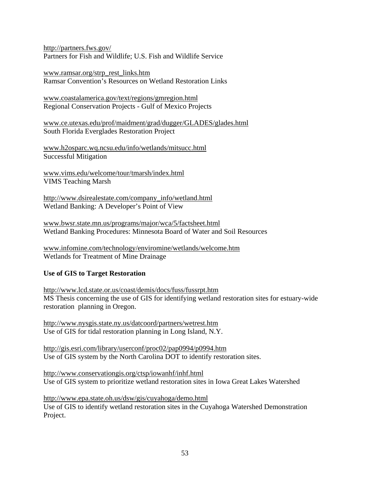<http://partners.fws.gov/> Partners for Fish and Wildlife; U.S. Fish and Wildlife Service

www.ramsar.org/strp\_rest\_links.htm Ramsar Convention's Resources on Wetland Restoration Links

www.coastalamerica.gov/text/regions/gmregion.html Regional Conservation Projects - Gulf of Mexico Projects

www.ce.utexas.edu/prof/maidment/grad/dugger/GLADES/glades.html South Florida Everglades Restoration Project

www.h2osparc.wq.ncsu.edu/info/wetlands/mitsucc.html Successful Mitigation

www.vims.edu/welcome/tour/tmarsh/index.html VIMS Teaching Marsh

[http://www.dsirealestate.com/company\\_info/wetland.html](http://www.dsirealestate.com/company_info/wetland.html)  Wetland Banking: A Developer's Point of View

www.bwsr.state.mn.us/programs/major/wca/5/factsheet.html Wetland Banking Procedures: Minnesota Board of Water and Soil Resources

www.infomine.com/technology/enviromine/wetlands/welcome.htm Wetlands for Treatment of Mine Drainage

### **Use of GIS to Target Restoration**

<http://www.lcd.state.or.us/coast/demis/docs/fuss/fussrpt.htm> MS Thesis concerning the use of GIS for identifying wetland restoration sites for estuary-wide restoration planning in Oregon.

<http://www.nysgis.state.ny.us/datcoord/partners/wetrest.htm> Use of GIS for tidal restoration planning in Long Island, N.Y.

<http://gis.esri.com/library/userconf/proc02/pap0994/p0994.htm> Use of GIS system by the North Carolina DOT to identify restoration sites.

<http://www.conservationgis.org/ctsp/iowanhf/inhf.html> Use of GIS system to prioritize wetland restoration sites in Iowa Great Lakes Watershed

<http://www.epa.state.oh.us/dsw/gis/cuyahoga/demo.html> Use of GIS to identify wetland restoration sites in the Cuyahoga Watershed Demonstration Project.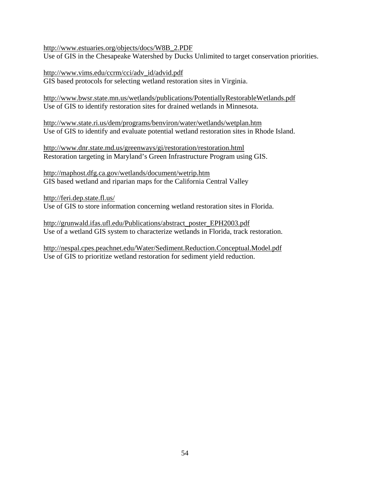[http://www.estuaries.org/objects/docs/W8B\\_2.PDF](http://www.estuaries.org/objects/docs/W8B_2.PDF)  Use of GIS in the Chesapeake Watershed by Ducks Unlimited to target conservation priorities.

[http://www.vims.edu/ccrm/cci/adv\\_id/advid.pdf](http://www.vims.edu/ccrm/cci/adv_id/advid.pdf) GIS based protocols for selecting wetland restoration sites in Virginia.

<http://www.bwsr.state.mn.us/wetlands/publications/PotentiallyRestorableWetlands.pdf> Use of GIS to identify restoration sites for drained wetlands in Minnesota.

<http://www.state.ri.us/dem/programs/benviron/water/wetlands/wetplan.htm> Use of GIS to identify and evaluate potential wetland restoration sites in Rhode Island.

<http://www.dnr.state.md.us/greenways/gi/restoration/restoration.html> Restoration targeting in Maryland's Green Infrastructure Program using GIS.

<http://maphost.dfg.ca.gov/wetlands/document/wetrip.htm> GIS based wetland and riparian maps for the California Central Valley

<http://feri.dep.state.fl.us/> Use of GIS to store information concerning wetland restoration sites in Florida.

[http://grunwald.ifas.ufl.edu/Publications/abstract\\_poster\\_EPH2003.pdf](http://grunwald.ifas.ufl.edu/Publications/abstract_poster_EPH2003.pdf) Use of a wetland GIS system to characterize wetlands in Florida, track restoration.

<http://nespal.cpes.peachnet.edu/Water/Sediment.Reduction.Conceptual.Model.pdf> Use of GIS to prioritize wetland restoration for sediment yield reduction.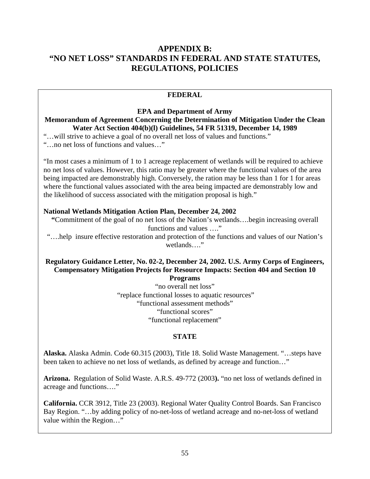# **APPENDIX B: "NO NET LOSS" STANDARDS IN FEDERAL AND STATE STATUTES, REGULATIONS, POLICIES**

#### **FEDERAL**

#### **EPA and Department of Army Memorandum of Agreement Concerning the Determination of Mitigation Under the Clean Water Act Section 404(b)(l) Guidelines, 54 FR 51319, December 14, 1989**

"…will strive to achieve a goal of no overall net loss of values and functions." "…no net loss of functions and values…"

"In most cases a minimum of 1 to 1 acreage replacement of wetlands will be required to achieve no net loss of values. However, this ratio may be greater where the functional values of the area being impacted are demonstrably high. Conversely, the ration may be less than 1 for 1 for areas where the functional values associated with the area being impacted are demonstrably low and the likelihood of success associated with the mitigation proposal is high."

#### **National Wetlands Mitigation Action Plan, December 24, 2002**

**"**Commitment of the goal of no net loss of the Nation's wetlands….begin increasing overall functions and values …."

"….help insure effective restoration and protection of the functions and values of our Nation's wetlands…."

# **Regulatory Guidance Letter, No. 02-2, December 24, 2002. U.S. Army Corps of Engineers, Compensatory Mitigation Projects for Resource Impacts: Section 404 and Section 10**

**Programs** 

"no overall net loss" "replace functional losses to aquatic resources" "functional assessment methods" "functional scores" "functional replacement"

#### **STATE**

**Alaska.** Alaska Admin. Code 60.315 (2003), Title 18. Solid Waste Management. "…steps have been taken to achieve no net loss of wetlands, as defined by acreage and function…"

**Arizona.** Regulation of Solid Waste. A.R.S. 49-772 (2003**).** "no net loss of wetlands defined in acreage and functions…."

**California.** CCR 3912, Title 23 (2003). Regional Water Quality Control Boards. San Francisco Bay Region. "…by adding policy of no-net-loss of wetland acreage and no-net-loss of wetland value within the Region…"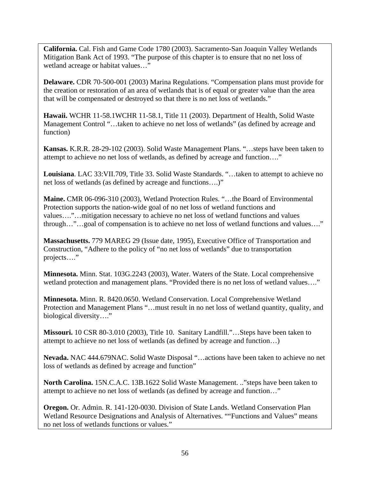**California.** Cal. Fish and Game Code 1780 (2003). Sacramento-San Joaquin Valley Wetlands Mitigation Bank Act of 1993. "The purpose of this chapter is to ensure that no net loss of wetland acreage or habitat values…"

**Delaware.** CDR 70-500-001 (2003) Marina Regulations. "Compensation plans must provide for the creation or restoration of an area of wetlands that is of equal or greater value than the area that will be compensated or destroyed so that there is no net loss of wetlands."

**Hawaii.** WCHR 11-58.1WCHR 11-58.1, Title 11 (2003). Department of Health, Solid Waste Management Control "…taken to achieve no net loss of wetlands" (as defined by acreage and function)

**Kansas.** K.R.R. 28-29-102 (2003). Solid Waste Management Plans. "…steps have been taken to attempt to achieve no net loss of wetlands, as defined by acreage and function…."

**Louisiana**. LAC 33:VII.709, Title 33. Solid Waste Standards. "…taken to attempt to achieve no net loss of wetlands (as defined by acreage and functions….)"

**Maine.** CMR 06-096-310 (2003), Wetland Protection Rules. "…the Board of Environmental Protection supports the nation-wide goal of no net loss of wetland functions and values…."…mitigation necessary to achieve no net loss of wetland functions and values through…"…goal of compensation is to achieve no net loss of wetland functions and values…."

**Massachusetts.** 779 MAREG 29 (Issue date, 1995), Executive Office of Transportation and Construction, "Adhere to the policy of "no net loss of wetlands" due to transportation projects…."

**Minnesota.** Minn. Stat. 103G.2243 (2003), Water. Waters of the State. Local comprehensive wetland protection and management plans. "Provided there is no net loss of wetland values…."

**Minnesota.** Minn. R. 8420.0650. Wetland Conservation. Local Comprehensive Wetland Protection and Management Plans "…must result in no net loss of wetland quantity, quality, and biological diversity…."

**Missouri.** 10 CSR 80-3.010 (2003), Title 10. Sanitary Landfill."…Steps have been taken to attempt to achieve no net loss of wetlands (as defined by acreage and function…)

**Nevada.** NAC 444.679NAC. Solid Waste Disposal "…actions have been taken to achieve no net loss of wetlands as defined by acreage and function"

**North Carolina.** 15N.C.A.C. 13B.1622 Solid Waste Management. .."steps have been taken to attempt to achieve no net loss of wetlands (as defined by acreage and function…"

**Oregon.** Or. Admin. R. 141-120-0030. Division of State Lands. Wetland Conservation Plan Wetland Resource Designations and Analysis of Alternatives. ""Functions and Values" means no net loss of wetlands functions or values."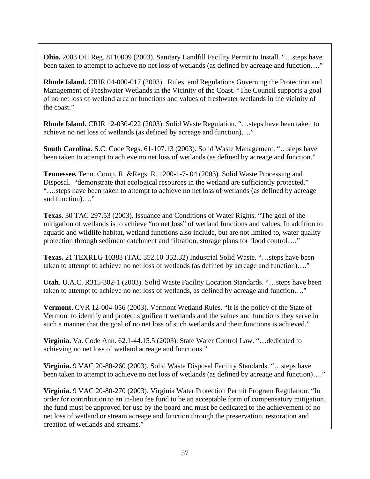**Ohio.** 2003 OH Reg. 8110009 (2003). Sanitary Landfill Facility Permit to Install. "…steps have been taken to attempt to achieve no net loss of wetlands (as defined by acreage and function...."

**Rhode Island.** CRIR 04-000-017 (2003). Rules and Regulations Governing the Protection and Management of Freshwater Wetlands in the Vicinity of the Coast. "The Council supports a goal of no net loss of wetland area or functions and values of freshwater wetlands in the vicinity of the coast."

**Rhode Island.** CRIR 12-030-022 (2003). Solid Waste Regulation. "…steps have been taken to achieve no net loss of wetlands (as defined by acreage and function)…."

**South Carolina.** S.C. Code Regs. 61-107.13 (2003). Solid Waste Management. "…steps have been taken to attempt to achieve no net loss of wetlands (as defined by acreage and function."

**Tennessee.** Tenn. Comp. R. &Regs. R. 1200-1-7-.04 (2003). Solid Waste Processing and Disposal. "demonstrate that ecological resources in the wetland are sufficiently protected." "….steps have been taken to attempt to achieve no net loss of wetlands (as defined by acreage and function)…."

**Texas.** 30 TAC 297.53 (2003). Issuance and Conditions of Water Rights. "The goal of the mitigation of wetlands is to achieve "no net loss" of wetland functions and values. In addition to aquatic and wildlife habitat, wetland functions also include, but are not limited to, water quality protection through sediment catchment and filtration, storage plans for flood control…."

**Texas.** 21 TEXREG 10383 (TAC 352.10-352.32) Industrial Solid Waste. "…steps have been taken to attempt to achieve no net loss of wetlands (as defined by acreage and function)…."

**Utah**. U.A.C. R315-302-1 (2003). Solid Waste Facility Location Standards. "…steps have been taken to attempt to achieve no net loss of wetlands, as defined by acreage and function…."

**Vermont.** CVR 12-004-056 (2003). Vermont Wetland Rules. "It is the policy of the State of Vermont to identify and protect significant wetlands and the values and functions they serve in such a manner that the goal of no net loss of such wetlands and their functions is achieved."

**Virginia.** Va. Code Ann. 62.1-44.15.5 (2003). State Water Control Law. "…dedicated to achieving no net loss of wetland acreage and functions."

**Virginia.** 9 VAC 20-80-260 (2003). Solid Waste Disposal Facility Standards. "…steps have been taken to attempt to achieve no net loss of wetlands (as defined by acreage and function)...."

**Virginia.** 9 VAC 20-80-270 (2003). Virginia Water Protection Permit Program Regulation. "In order for contribution to an in-lieu fee fund to be an acceptable form of compensatory mitigation, the fund must be approved for use by the board and must be dedicated to the achievement of no net loss of wetland or stream acreage and function through the preservation, restoration and creation of wetlands and streams."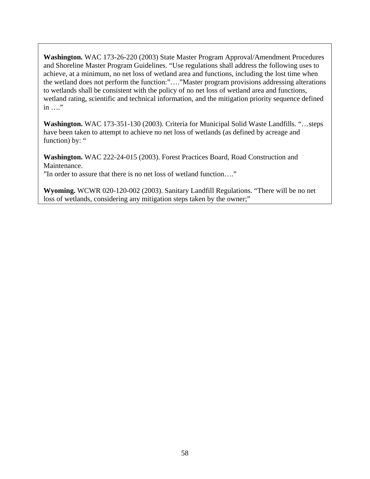**Washington.** WAC 173-26-220 (2003) State Master Program Approval/Amendment Procedures and Shoreline Master Program Guidelines. "Use regulations shall address the following uses to achieve, at a minimum, no net loss of wetland area and functions, including the lost time when the wetland does not perform the function:"…."Master program provisions addressing alterations to wetlands shall be consistent with the policy of no net loss of wetland area and functions, wetland rating, scientific and technical information, and the mitigation priority sequence defined in …."

**Washington.** WAC 173-351-130 (2003). Criteria for Municipal Solid Waste Landfills. "…steps have been taken to attempt to achieve no net loss of wetlands (as defined by acreage and function) by: "

**Washington.** WAC 222-24-015 (2003). Forest Practices Board, Road Construction and Maintenance.

"In order to assure that there is no net loss of wetland function…."

**Wyoming.** WCWR 020-120-002 (2003). Sanitary Landfill Regulations. "There will be no net loss of wetlands, considering any mitigation steps taken by the owner;"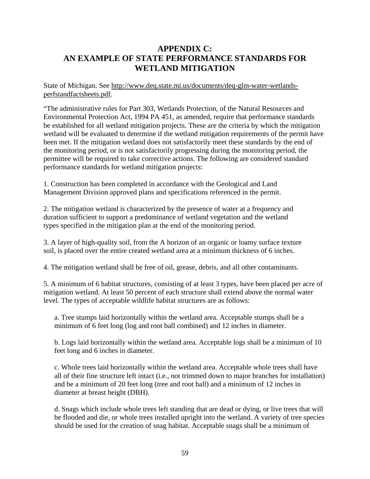# **APPENDIX C: AN EXAMPLE OF STATE PERFORMANCE STANDARDS FOR WETLAND MITIGATION**

[State of Michigan. See http://www.deq.state.mi.us/documents/deq-glm-water-wetlands](http://www.deq.state.mi.us/documents/deq-glm-water-wetlands-perfstandfactsheets)perfstandfactsheets.pdf.

"The administrative rules for Part 303, Wetlands Protection, of the Natural Resources and Environmental Protection Act, 1994 PA 451, as amended, require that performance standards be established for all wetland mitigation projects. These are the criteria by which the mitigation wetland will be evaluated to determine if the wetland mitigation requirements of the permit have been met. If the mitigation wetland does not satisfactorily meet these standards by the end of the monitoring period, or is not satisfactorily progressing during the monitoring period, the permittee will be required to take corrective actions. The following are considered standard performance standards for wetland mitigation projects:

1. Construction has been completed in accordance with the Geological and Land Management Division approved plans and specifications referenced in the permit.

2. The mitigation wetland is characterized by the presence of water at a frequency and duration sufficient to support a predominance of wetland vegetation and the wetland types specified in the mitigation plan at the end of the monitoring period.

3. A layer of high-quality soil, from the A horizon of an organic or loamy surface texture soil, is placed over the entire created wetland area at a minimum thickness of 6 inches.

4. The mitigation wetland shall be free of oil, grease, debris, and all other contaminants.

5. A minimum of 6 habitat structures, consisting of at least 3 types, have been placed per acre of mitigation wetland. At least 50 percent of each structure shall extend above the normal water level. The types of acceptable wildlife habitat structures are as follows:

a. Tree stumps laid horizontally within the wetland area. Acceptable stumps shall be a minimum of 6 feet long (log and root ball combined) and 12 inches in diameter.

b. Logs laid horizontally within the wetland area. Acceptable logs shall be a minimum of 10 feet long and 6 inches in diameter.

c. Whole trees laid horizontally within the wetland area. Acceptable whole trees shall have all of their fine structure left intact (i.e., not trimmed down to major branches for installation) and be a minimum of 20 feet long (tree and root ball) and a minimum of 12 inches in diameter at breast height (DBH).

d. Snags which include whole trees left standing that are dead or dying, or live trees that will be flooded and die, or whole trees installed upright into the wetland. A variety of tree species should be used for the creation of snag habitat. Acceptable snags shall be a minimum of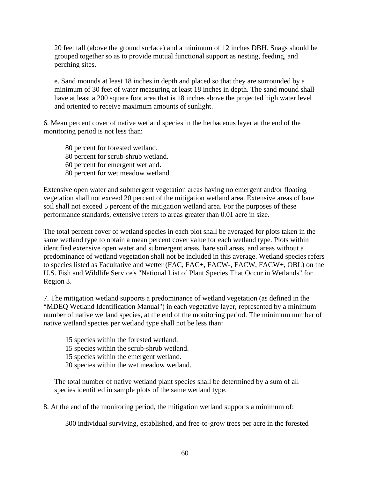20 feet tall (above the ground surface) and a minimum of 12 inches DBH. Snags should be grouped together so as to provide mutual functional support as nesting, feeding, and perching sites.

e. Sand mounds at least 18 inches in depth and placed so that they are surrounded by a minimum of 30 feet of water measuring at least 18 inches in depth. The sand mound shall have at least a 200 square foot area that is 18 inches above the projected high water level and oriented to receive maximum amounts of sunlight.

6. Mean percent cover of native wetland species in the herbaceous layer at the end of the monitoring period is not less than:

- 80 percent for forested wetland.
- 80 percent for scrub-shrub wetland.
- 60 percent for emergent wetland.
- 80 percent for wet meadow wetland.

Extensive open water and submergent vegetation areas having no emergent and/or floating vegetation shall not exceed 20 percent of the mitigation wetland area. Extensive areas of bare soil shall not exceed 5 percent of the mitigation wetland area. For the purposes of these performance standards, extensive refers to areas greater than 0.01 acre in size.

The total percent cover of wetland species in each plot shall be averaged for plots taken in the same wetland type to obtain a mean percent cover value for each wetland type. Plots within identified extensive open water and submergent areas, bare soil areas, and areas without a predominance of wetland vegetation shall not be included in this average. Wetland species refers to species listed as Facultative and wetter (FAC, FAC+, FACW-, FACW, FACW+, OBL) on the U.S. Fish and Wildlife Service's "National List of Plant Species That Occur in Wetlands" for Region 3.

7. The mitigation wetland supports a predominance of wetland vegetation (as defined in the "MDEQ Wetland Identification Manual") in each vegetative layer, represented by a minimum number of native wetland species, at the end of the monitoring period. The minimum number of native wetland species per wetland type shall not be less than:

- 15 species within the forested wetland.
- 15 species within the scrub-shrub wetland.
- 15 species within the emergent wetland.
- 20 species within the wet meadow wetland.

The total number of native wetland plant species shall be determined by a sum of all species identified in sample plots of the same wetland type.

8. At the end of the monitoring period, the mitigation wetland supports a minimum of:

300 individual surviving, established, and free-to-grow trees per acre in the forested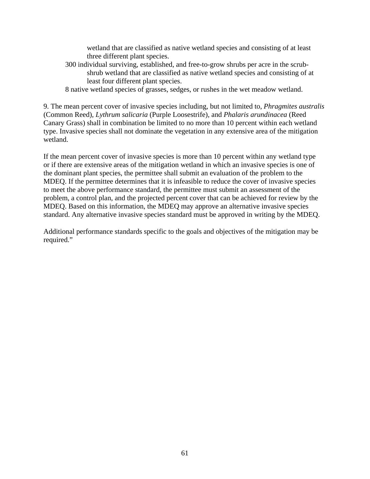wetland that are classified as native wetland species and consisting of at least three different plant species.

- 300 individual surviving, established, and free-to-grow shrubs per acre in the scrubshrub wetland that are classified as native wetland species and consisting of at least four different plant species.
- 8 native wetland species of grasses, sedges, or rushes in the wet meadow wetland.

9. The mean percent cover of invasive species including, but not limited to, *Phragmites australis*  (Common Reed), *Lythrum salicaria* (Purple Loosestrife), and *Phalaris arundinacea* (Reed Canary Grass) shall in combination be limited to no more than 10 percent within each wetland type. Invasive species shall not dominate the vegetation in any extensive area of the mitigation wetland.

If the mean percent cover of invasive species is more than 10 percent within any wetland type or if there are extensive areas of the mitigation wetland in which an invasive species is one of the dominant plant species, the permittee shall submit an evaluation of the problem to the MDEQ. If the permittee determines that it is infeasible to reduce the cover of invasive species to meet the above performance standard, the permittee must submit an assessment of the problem, a control plan, and the projected percent cover that can be achieved for review by the MDEQ. Based on this information, the MDEQ may approve an alternative invasive species standard. Any alternative invasive species standard must be approved in writing by the MDEQ.

Additional performance standards specific to the goals and objectives of the mitigation may be required."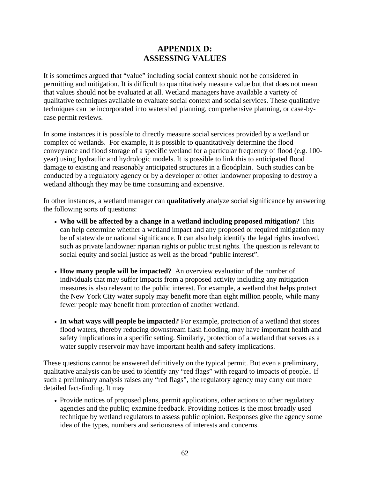# **APPENDIX D: ASSESSING VALUES**

It is sometimes argued that "value" including social context should not be considered in permitting and mitigation. It is difficult to quantitatively measure value but that does not mean that values should not be evaluated at all. Wetland managers have available a variety of qualitative techniques available to evaluate social context and social services. These qualitative techniques can be incorporated into watershed planning, comprehensive planning, or case-bycase permit reviews.

In some instances it is possible to directly measure social services provided by a wetland or complex of wetlands. For example, it is possible to quantitatively determine the flood conveyance and flood storage of a specific wetland for a particular frequency of flood (e.g. 100 year) using hydraulic and hydrologic models. It is possible to link this to anticipated flood damage to existing and reasonably anticipated structures in a floodplain. Such studies can be conducted by a regulatory agency or by a developer or other landowner proposing to destroy a wetland although they may be time consuming and expensive.

In other instances, a wetland manager can **qualitatively** analyze social significance by answering the following sorts of questions:

- **Who will be affected by a change in a wetland including proposed mitigation?** This can help determine whether a wetland impact and any proposed or required mitigation may be of statewide or national significance. It can also help identify the legal rights involved, such as private landowner riparian rights or public trust rights. The question is relevant to social equity and social justice as well as the broad "public interest".
- **How many people will be impacted?** An overview evaluation of the number of individuals that may suffer impacts from a proposed activity including any mitigation measures is also relevant to the public interest. For example, a wetland that helps protect the New York City water supply may benefit more than eight million people, while many fewer people may benefit from protection of another wetland.
- **In what ways will people be impacted?** For example, protection of a wetland that stores flood waters, thereby reducing downstream flash flooding, may have important health and safety implications in a specific setting. Similarly, protection of a wetland that serves as a water supply reservoir may have important health and safety implications.

These questions cannot be answered definitively on the typical permit. But even a preliminary, qualitative analysis can be used to identify any "red flags" with regard to impacts of people.. If such a preliminary analysis raises any "red flags", the regulatory agency may carry out more detailed fact-finding. It may

• Provide notices of proposed plans, permit applications, other actions to other regulatory agencies and the public; examine feedback. Providing notices is the most broadly used technique by wetland regulators to assess public opinion. Responses give the agency some idea of the types, numbers and seriousness of interests and concerns.